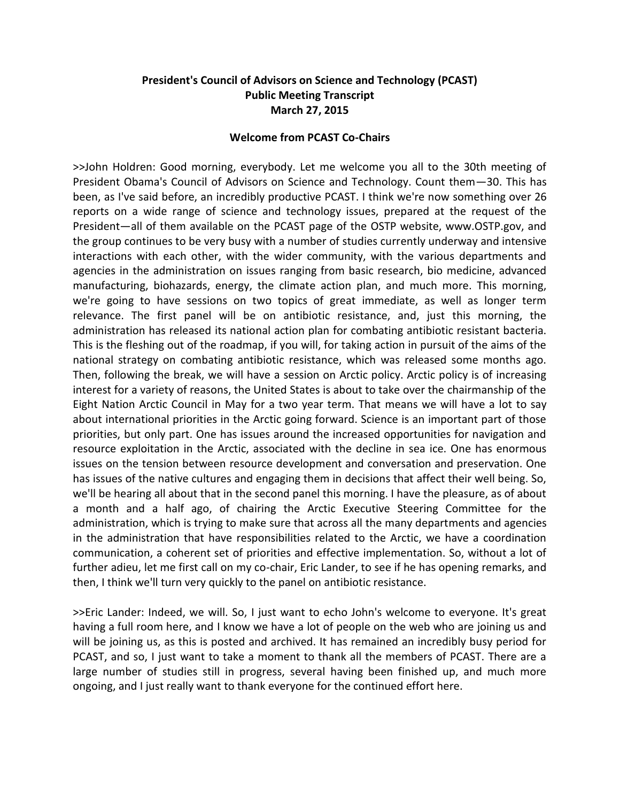# **President's Council of Advisors on Science and Technology (PCAST) Public Meeting Transcript March 27, 2015**

### **Welcome from PCAST Co-Chairs**

>>John Holdren: Good morning, everybody. Let me welcome you all to the 30th meeting of President Obama's Council of Advisors on Science and Technology. Count them—30. This has been, as I've said before, an incredibly productive PCAST. I think we're now something over 26 reports on a wide range of science and technology issues, prepared at the request of the President—all of them available on the PCAST page of the OSTP website, www.OSTP.gov, and the group continues to be very busy with a number of studies currently underway and intensive interactions with each other, with the wider community, with the various departments and agencies in the administration on issues ranging from basic research, bio medicine, advanced manufacturing, biohazards, energy, the climate action plan, and much more. This morning, we're going to have sessions on two topics of great immediate, as well as longer term relevance. The first panel will be on antibiotic resistance, and, just this morning, the administration has released its national action plan for combating antibiotic resistant bacteria. This is the fleshing out of the roadmap, if you will, for taking action in pursuit of the aims of the national strategy on combating antibiotic resistance, which was released some months ago. Then, following the break, we will have a session on Arctic policy. Arctic policy is of increasing interest for a variety of reasons, the United States is about to take over the chairmanship of the Eight Nation Arctic Council in May for a two year term. That means we will have a lot to say about international priorities in the Arctic going forward. Science is an important part of those priorities, but only part. One has issues around the increased opportunities for navigation and resource exploitation in the Arctic, associated with the decline in sea ice. One has enormous issues on the tension between resource development and conversation and preservation. One has issues of the native cultures and engaging them in decisions that affect their well being. So, we'll be hearing all about that in the second panel this morning. I have the pleasure, as of about a month and a half ago, of chairing the Arctic Executive Steering Committee for the administration, which is trying to make sure that across all the many departments and agencies in the administration that have responsibilities related to the Arctic, we have a coordination communication, a coherent set of priorities and effective implementation. So, without a lot of further adieu, let me first call on my co-chair, Eric Lander, to see if he has opening remarks, and then, I think we'll turn very quickly to the panel on antibiotic resistance.

>>Eric Lander: Indeed, we will. So, I just want to echo John's welcome to everyone. It's great having a full room here, and I know we have a lot of people on the web who are joining us and will be joining us, as this is posted and archived. It has remained an incredibly busy period for PCAST, and so, I just want to take a moment to thank all the members of PCAST. There are a large number of studies still in progress, several having been finished up, and much more ongoing, and I just really want to thank everyone for the continued effort here.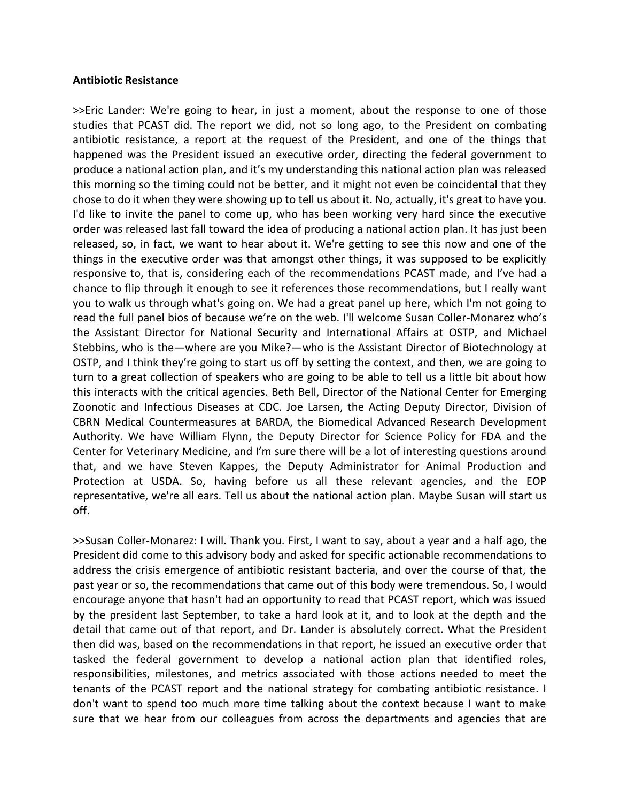### **Antibiotic Resistance**

>>Eric Lander: We're going to hear, in just a moment, about the response to one of those studies that PCAST did. The report we did, not so long ago, to the President on combating antibiotic resistance, a report at the request of the President, and one of the things that happened was the President issued an executive order, directing the federal government to produce a national action plan, and it's my understanding this national action plan was released this morning so the timing could not be better, and it might not even be coincidental that they chose to do it when they were showing up to tell us about it. No, actually, it's great to have you. I'd like to invite the panel to come up, who has been working very hard since the executive order was released last fall toward the idea of producing a national action plan. It has just been released, so, in fact, we want to hear about it. We're getting to see this now and one of the things in the executive order was that amongst other things, it was supposed to be explicitly responsive to, that is, considering each of the recommendations PCAST made, and I've had a chance to flip through it enough to see it references those recommendations, but I really want you to walk us through what's going on. We had a great panel up here, which I'm not going to read the full panel bios of because we're on the web. I'll welcome Susan Coller-Monarez who's the Assistant Director for National Security and International Affairs at OSTP, and Michael Stebbins, who is the—where are you Mike?—who is the Assistant Director of Biotechnology at OSTP, and I think they're going to start us off by setting the context, and then, we are going to turn to a great collection of speakers who are going to be able to tell us a little bit about how this interacts with the critical agencies. Beth Bell, Director of the National Center for Emerging Zoonotic and Infectious Diseases at CDC. Joe Larsen, the Acting Deputy Director, Division of CBRN Medical Countermeasures at BARDA, the Biomedical Advanced Research Development Authority. We have William Flynn, the Deputy Director for Science Policy for FDA and the Center for Veterinary Medicine, and I'm sure there will be a lot of interesting questions around that, and we have Steven Kappes, the Deputy Administrator for Animal Production and Protection at USDA. So, having before us all these relevant agencies, and the EOP representative, we're all ears. Tell us about the national action plan. Maybe Susan will start us off.

>>Susan Coller-Monarez: I will. Thank you. First, I want to say, about a year and a half ago, the President did come to this advisory body and asked for specific actionable recommendations to address the crisis emergence of antibiotic resistant bacteria, and over the course of that, the past year or so, the recommendations that came out of this body were tremendous. So, I would encourage anyone that hasn't had an opportunity to read that PCAST report, which was issued by the president last September, to take a hard look at it, and to look at the depth and the detail that came out of that report, and Dr. Lander is absolutely correct. What the President then did was, based on the recommendations in that report, he issued an executive order that tasked the federal government to develop a national action plan that identified roles, responsibilities, milestones, and metrics associated with those actions needed to meet the tenants of the PCAST report and the national strategy for combating antibiotic resistance. I don't want to spend too much more time talking about the context because I want to make sure that we hear from our colleagues from across the departments and agencies that are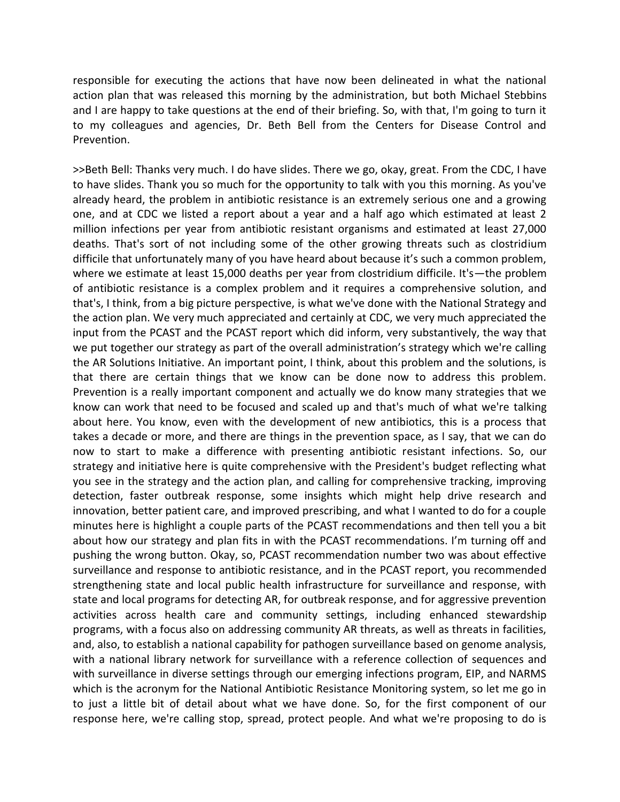responsible for executing the actions that have now been delineated in what the national action plan that was released this morning by the administration, but both Michael Stebbins and I are happy to take questions at the end of their briefing. So, with that, I'm going to turn it to my colleagues and agencies, Dr. Beth Bell from the Centers for Disease Control and Prevention.

>>Beth Bell: Thanks very much. I do have slides. There we go, okay, great. From the CDC, I have to have slides. Thank you so much for the opportunity to talk with you this morning. As you've already heard, the problem in antibiotic resistance is an extremely serious one and a growing one, and at CDC we listed a report about a year and a half ago which estimated at least 2 million infections per year from antibiotic resistant organisms and estimated at least 27,000 deaths. That's sort of not including some of the other growing threats such as clostridium difficile that unfortunately many of you have heard about because it's such a common problem, where we estimate at least 15,000 deaths per year from clostridium difficile. It's—the problem of antibiotic resistance is a complex problem and it requires a comprehensive solution, and that's, I think, from a big picture perspective, is what we've done with the National Strategy and the action plan. We very much appreciated and certainly at CDC, we very much appreciated the input from the PCAST and the PCAST report which did inform, very substantively, the way that we put together our strategy as part of the overall administration's strategy which we're calling the AR Solutions Initiative. An important point, I think, about this problem and the solutions, is that there are certain things that we know can be done now to address this problem. Prevention is a really important component and actually we do know many strategies that we know can work that need to be focused and scaled up and that's much of what we're talking about here. You know, even with the development of new antibiotics, this is a process that takes a decade or more, and there are things in the prevention space, as I say, that we can do now to start to make a difference with presenting antibiotic resistant infections. So, our strategy and initiative here is quite comprehensive with the President's budget reflecting what you see in the strategy and the action plan, and calling for comprehensive tracking, improving detection, faster outbreak response, some insights which might help drive research and innovation, better patient care, and improved prescribing, and what I wanted to do for a couple minutes here is highlight a couple parts of the PCAST recommendations and then tell you a bit about how our strategy and plan fits in with the PCAST recommendations. I'm turning off and pushing the wrong button. Okay, so, PCAST recommendation number two was about effective surveillance and response to antibiotic resistance, and in the PCAST report, you recommended strengthening state and local public health infrastructure for surveillance and response, with state and local programs for detecting AR, for outbreak response, and for aggressive prevention activities across health care and community settings, including enhanced stewardship programs, with a focus also on addressing community AR threats, as well as threats in facilities, and, also, to establish a national capability for pathogen surveillance based on genome analysis, with a national library network for surveillance with a reference collection of sequences and with surveillance in diverse settings through our emerging infections program, EIP, and NARMS which is the acronym for the National Antibiotic Resistance Monitoring system, so let me go in to just a little bit of detail about what we have done. So, for the first component of our response here, we're calling stop, spread, protect people. And what we're proposing to do is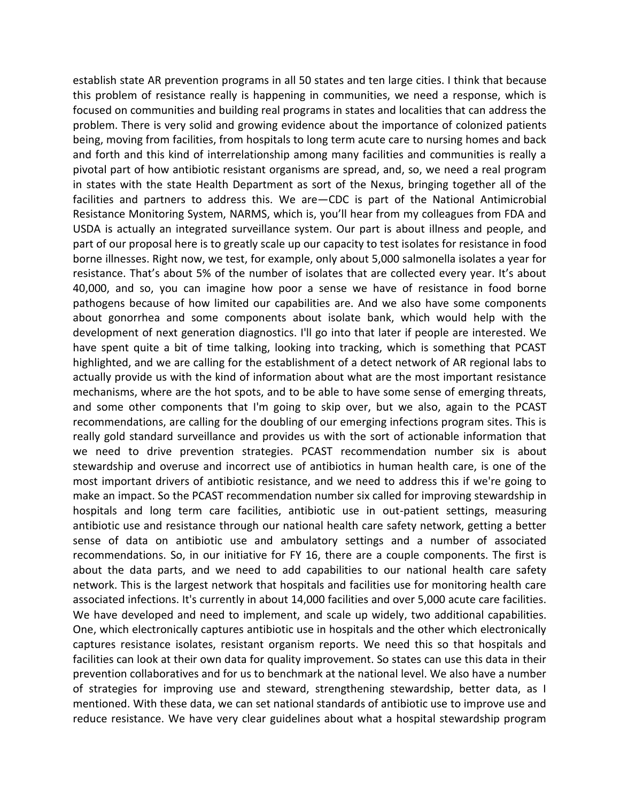establish state AR prevention programs in all 50 states and ten large cities. I think that because this problem of resistance really is happening in communities, we need a response, which is focused on communities and building real programs in states and localities that can address the problem. There is very solid and growing evidence about the importance of colonized patients being, moving from facilities, from hospitals to long term acute care to nursing homes and back and forth and this kind of interrelationship among many facilities and communities is really a pivotal part of how antibiotic resistant organisms are spread, and, so, we need a real program in states with the state Health Department as sort of the Nexus, bringing together all of the facilities and partners to address this. We are—CDC is part of the National Antimicrobial Resistance Monitoring System, NARMS, which is, you'll hear from my colleagues from FDA and USDA is actually an integrated surveillance system. Our part is about illness and people, and part of our proposal here is to greatly scale up our capacity to test isolates for resistance in food borne illnesses. Right now, we test, for example, only about 5,000 salmonella isolates a year for resistance. That's about 5% of the number of isolates that are collected every year. It's about 40,000, and so, you can imagine how poor a sense we have of resistance in food borne pathogens because of how limited our capabilities are. And we also have some components about gonorrhea and some components about isolate bank, which would help with the development of next generation diagnostics. I'll go into that later if people are interested. We have spent quite a bit of time talking, looking into tracking, which is something that PCAST highlighted, and we are calling for the establishment of a detect network of AR regional labs to actually provide us with the kind of information about what are the most important resistance mechanisms, where are the hot spots, and to be able to have some sense of emerging threats, and some other components that I'm going to skip over, but we also, again to the PCAST recommendations, are calling for the doubling of our emerging infections program sites. This is really gold standard surveillance and provides us with the sort of actionable information that we need to drive prevention strategies. PCAST recommendation number six is about stewardship and overuse and incorrect use of antibiotics in human health care, is one of the most important drivers of antibiotic resistance, and we need to address this if we're going to make an impact. So the PCAST recommendation number six called for improving stewardship in hospitals and long term care facilities, antibiotic use in out-patient settings, measuring antibiotic use and resistance through our national health care safety network, getting a better sense of data on antibiotic use and ambulatory settings and a number of associated recommendations. So, in our initiative for FY 16, there are a couple components. The first is about the data parts, and we need to add capabilities to our national health care safety network. This is the largest network that hospitals and facilities use for monitoring health care associated infections. It's currently in about 14,000 facilities and over 5,000 acute care facilities. We have developed and need to implement, and scale up widely, two additional capabilities. One, which electronically captures antibiotic use in hospitals and the other which electronically captures resistance isolates, resistant organism reports. We need this so that hospitals and facilities can look at their own data for quality improvement. So states can use this data in their prevention collaboratives and for us to benchmark at the national level. We also have a number of strategies for improving use and steward, strengthening stewardship, better data, as I mentioned. With these data, we can set national standards of antibiotic use to improve use and reduce resistance. We have very clear guidelines about what a hospital stewardship program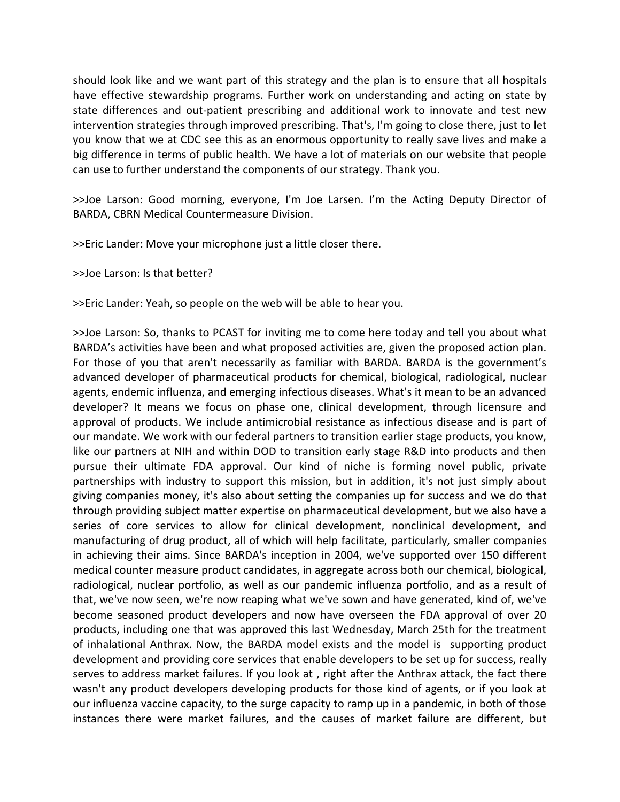should look like and we want part of this strategy and the plan is to ensure that all hospitals have effective stewardship programs. Further work on understanding and acting on state by state differences and out-patient prescribing and additional work to innovate and test new intervention strategies through improved prescribing. That's, I'm going to close there, just to let you know that we at CDC see this as an enormous opportunity to really save lives and make a big difference in terms of public health. We have a lot of materials on our website that people can use to further understand the components of our strategy. Thank you.

>>Joe Larson: Good morning, everyone, I'm Joe Larsen. I'm the Acting Deputy Director of BARDA, CBRN Medical Countermeasure Division.

>>Eric Lander: Move your microphone just a little closer there.

>>Joe Larson: Is that better?

>>Eric Lander: Yeah, so people on the web will be able to hear you.

>>Joe Larson: So, thanks to PCAST for inviting me to come here today and tell you about what BARDA's activities have been and what proposed activities are, given the proposed action plan. For those of you that aren't necessarily as familiar with BARDA. BARDA is the government's advanced developer of pharmaceutical products for chemical, biological, radiological, nuclear agents, endemic influenza, and emerging infectious diseases. What's it mean to be an advanced developer? It means we focus on phase one, clinical development, through licensure and approval of products. We include antimicrobial resistance as infectious disease and is part of our mandate. We work with our federal partners to transition earlier stage products, you know, like our partners at NIH and within DOD to transition early stage R&D into products and then pursue their ultimate FDA approval. Our kind of niche is forming novel public, private partnerships with industry to support this mission, but in addition, it's not just simply about giving companies money, it's also about setting the companies up for success and we do that through providing subject matter expertise on pharmaceutical development, but we also have a series of core services to allow for clinical development, nonclinical development, and manufacturing of drug product, all of which will help facilitate, particularly, smaller companies in achieving their aims. Since BARDA's inception in 2004, we've supported over 150 different medical counter measure product candidates, in aggregate across both our chemical, biological, radiological, nuclear portfolio, as well as our pandemic influenza portfolio, and as a result of that, we've now seen, we're now reaping what we've sown and have generated, kind of, we've become seasoned product developers and now have overseen the FDA approval of over 20 products, including one that was approved this last Wednesday, March 25th for the treatment of inhalational Anthrax. Now, the BARDA model exists and the model is supporting product development and providing core services that enable developers to be set up for success, really serves to address market failures. If you look at , right after the Anthrax attack, the fact there wasn't any product developers developing products for those kind of agents, or if you look at our influenza vaccine capacity, to the surge capacity to ramp up in a pandemic, in both of those instances there were market failures, and the causes of market failure are different, but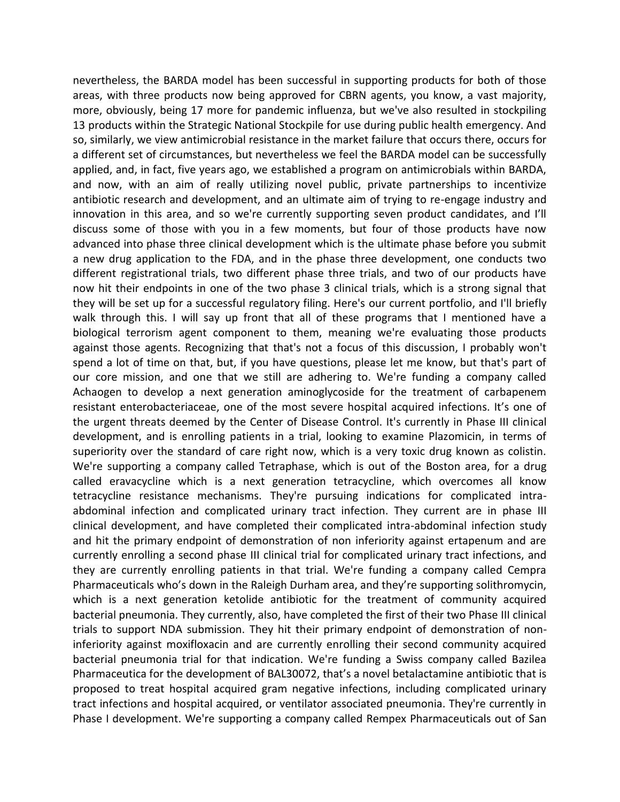nevertheless, the BARDA model has been successful in supporting products for both of those areas, with three products now being approved for CBRN agents, you know, a vast majority, more, obviously, being 17 more for pandemic influenza, but we've also resulted in stockpiling 13 products within the Strategic National Stockpile for use during public health emergency. And so, similarly, we view antimicrobial resistance in the market failure that occurs there, occurs for a different set of circumstances, but nevertheless we feel the BARDA model can be successfully applied, and, in fact, five years ago, we established a program on antimicrobials within BARDA, and now, with an aim of really utilizing novel public, private partnerships to incentivize antibiotic research and development, and an ultimate aim of trying to re-engage industry and innovation in this area, and so we're currently supporting seven product candidates, and I'll discuss some of those with you in a few moments, but four of those products have now advanced into phase three clinical development which is the ultimate phase before you submit a new drug application to the FDA, and in the phase three development, one conducts two different registrational trials, two different phase three trials, and two of our products have now hit their endpoints in one of the two phase 3 clinical trials, which is a strong signal that they will be set up for a successful regulatory filing. Here's our current portfolio, and I'll briefly walk through this. I will say up front that all of these programs that I mentioned have a biological terrorism agent component to them, meaning we're evaluating those products against those agents. Recognizing that that's not a focus of this discussion, I probably won't spend a lot of time on that, but, if you have questions, please let me know, but that's part of our core mission, and one that we still are adhering to. We're funding a company called Achaogen to develop a next generation aminoglycoside for the treatment of carbapenem resistant enterobacteriaceae, one of the most severe hospital acquired infections. It's one of the urgent threats deemed by the Center of Disease Control. It's currently in Phase III clinical development, and is enrolling patients in a trial, looking to examine Plazomicin, in terms of superiority over the standard of care right now, which is a very toxic drug known as colistin. We're supporting a company called Tetraphase, which is out of the Boston area, for a drug called eravacycline which is a next generation tetracycline, which overcomes all know tetracycline resistance mechanisms. They're pursuing indications for complicated intraabdominal infection and complicated urinary tract infection. They current are in phase III clinical development, and have completed their complicated intra-abdominal infection study and hit the primary endpoint of demonstration of non inferiority against ertapenum and are currently enrolling a second phase III clinical trial for complicated urinary tract infections, and they are currently enrolling patients in that trial. We're funding a company called Cempra Pharmaceuticals who's down in the Raleigh Durham area, and they're supporting solithromycin, which is a next generation ketolide antibiotic for the treatment of community acquired bacterial pneumonia. They currently, also, have completed the first of their two Phase III clinical trials to support NDA submission. They hit their primary endpoint of demonstration of noninferiority against moxifloxacin and are currently enrolling their second community acquired bacterial pneumonia trial for that indication. We're funding a Swiss company called Bazilea Pharmaceutica for the development of BAL30072, that's a novel betalactamine antibiotic that is proposed to treat hospital acquired gram negative infections, including complicated urinary tract infections and hospital acquired, or ventilator associated pneumonia. They're currently in Phase I development. We're supporting a company called Rempex Pharmaceuticals out of San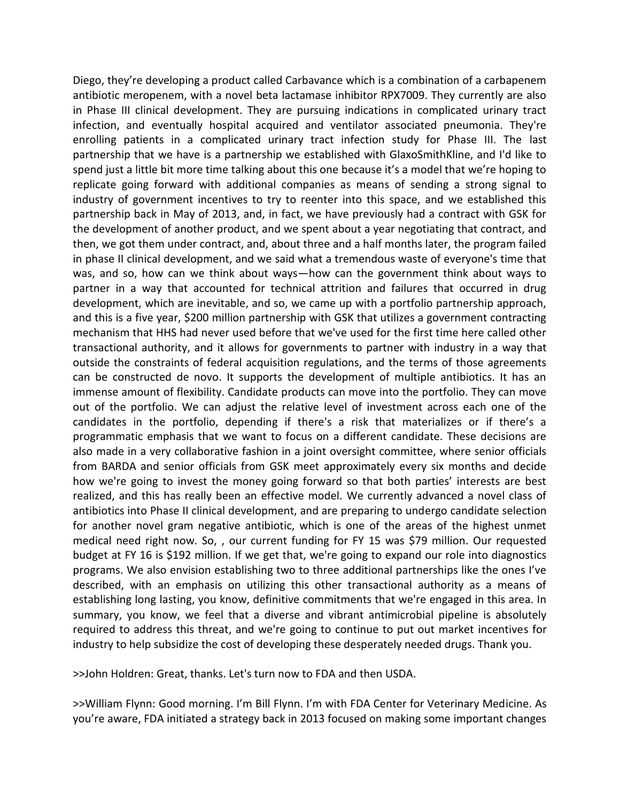Diego, they're developing a product called Carbavance which is a combination of a carbapenem antibiotic meropenem, with a novel beta lactamase inhibitor RPX7009. They currently are also in Phase III clinical development. They are pursuing indications in complicated urinary tract infection, and eventually hospital acquired and ventilator associated pneumonia. They're enrolling patients in a complicated urinary tract infection study for Phase III. The last partnership that we have is a partnership we established with GlaxoSmithKline, and I'd like to spend just a little bit more time talking about this one because it's a model that we're hoping to replicate going forward with additional companies as means of sending a strong signal to industry of government incentives to try to reenter into this space, and we established this partnership back in May of 2013, and, in fact, we have previously had a contract with GSK for the development of another product, and we spent about a year negotiating that contract, and then, we got them under contract, and, about three and a half months later, the program failed in phase II clinical development, and we said what a tremendous waste of everyone's time that was, and so, how can we think about ways—how can the government think about ways to partner in a way that accounted for technical attrition and failures that occurred in drug development, which are inevitable, and so, we came up with a portfolio partnership approach, and this is a five year, \$200 million partnership with GSK that utilizes a government contracting mechanism that HHS had never used before that we've used for the first time here called other transactional authority, and it allows for governments to partner with industry in a way that outside the constraints of federal acquisition regulations, and the terms of those agreements can be constructed de novo. It supports the development of multiple antibiotics. It has an immense amount of flexibility. Candidate products can move into the portfolio. They can move out of the portfolio. We can adjust the relative level of investment across each one of the candidates in the portfolio, depending if there's a risk that materializes or if there's a programmatic emphasis that we want to focus on a different candidate. These decisions are also made in a very collaborative fashion in a joint oversight committee, where senior officials from BARDA and senior officials from GSK meet approximately every six months and decide how we're going to invest the money going forward so that both parties' interests are best realized, and this has really been an effective model. We currently advanced a novel class of antibiotics into Phase II clinical development, and are preparing to undergo candidate selection for another novel gram negative antibiotic, which is one of the areas of the highest unmet medical need right now. So, , our current funding for FY 15 was \$79 million. Our requested budget at FY 16 is \$192 million. If we get that, we're going to expand our role into diagnostics programs. We also envision establishing two to three additional partnerships like the ones I've described, with an emphasis on utilizing this other transactional authority as a means of establishing long lasting, you know, definitive commitments that we're engaged in this area. In summary, you know, we feel that a diverse and vibrant antimicrobial pipeline is absolutely required to address this threat, and we're going to continue to put out market incentives for industry to help subsidize the cost of developing these desperately needed drugs. Thank you.

>>John Holdren: Great, thanks. Let's turn now to FDA and then USDA.

>>William Flynn: Good morning. I'm Bill Flynn. I'm with FDA Center for Veterinary Medicine. As you're aware, FDA initiated a strategy back in 2013 focused on making some important changes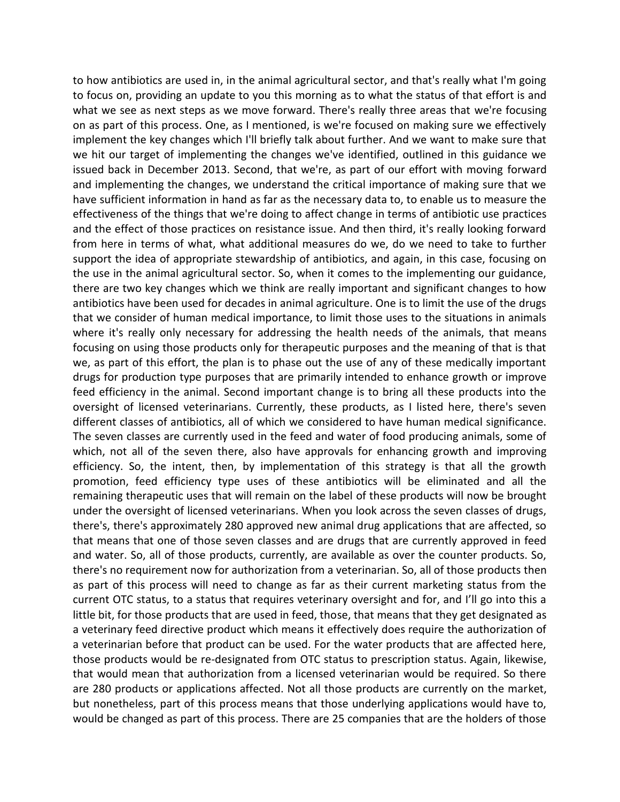to how antibiotics are used in, in the animal agricultural sector, and that's really what I'm going to focus on, providing an update to you this morning as to what the status of that effort is and what we see as next steps as we move forward. There's really three areas that we're focusing on as part of this process. One, as I mentioned, is we're focused on making sure we effectively implement the key changes which I'll briefly talk about further. And we want to make sure that we hit our target of implementing the changes we've identified, outlined in this guidance we issued back in December 2013. Second, that we're, as part of our effort with moving forward and implementing the changes, we understand the critical importance of making sure that we have sufficient information in hand as far as the necessary data to, to enable us to measure the effectiveness of the things that we're doing to affect change in terms of antibiotic use practices and the effect of those practices on resistance issue. And then third, it's really looking forward from here in terms of what, what additional measures do we, do we need to take to further support the idea of appropriate stewardship of antibiotics, and again, in this case, focusing on the use in the animal agricultural sector. So, when it comes to the implementing our guidance, there are two key changes which we think are really important and significant changes to how antibiotics have been used for decades in animal agriculture. One is to limit the use of the drugs that we consider of human medical importance, to limit those uses to the situations in animals where it's really only necessary for addressing the health needs of the animals, that means focusing on using those products only for therapeutic purposes and the meaning of that is that we, as part of this effort, the plan is to phase out the use of any of these medically important drugs for production type purposes that are primarily intended to enhance growth or improve feed efficiency in the animal. Second important change is to bring all these products into the oversight of licensed veterinarians. Currently, these products, as I listed here, there's seven different classes of antibiotics, all of which we considered to have human medical significance. The seven classes are currently used in the feed and water of food producing animals, some of which, not all of the seven there, also have approvals for enhancing growth and improving efficiency. So, the intent, then, by implementation of this strategy is that all the growth promotion, feed efficiency type uses of these antibiotics will be eliminated and all the remaining therapeutic uses that will remain on the label of these products will now be brought under the oversight of licensed veterinarians. When you look across the seven classes of drugs, there's, there's approximately 280 approved new animal drug applications that are affected, so that means that one of those seven classes and are drugs that are currently approved in feed and water. So, all of those products, currently, are available as over the counter products. So, there's no requirement now for authorization from a veterinarian. So, all of those products then as part of this process will need to change as far as their current marketing status from the current OTC status, to a status that requires veterinary oversight and for, and I'll go into this a little bit, for those products that are used in feed, those, that means that they get designated as a veterinary feed directive product which means it effectively does require the authorization of a veterinarian before that product can be used. For the water products that are affected here, those products would be re-designated from OTC status to prescription status. Again, likewise, that would mean that authorization from a licensed veterinarian would be required. So there are 280 products or applications affected. Not all those products are currently on the market, but nonetheless, part of this process means that those underlying applications would have to, would be changed as part of this process. There are 25 companies that are the holders of those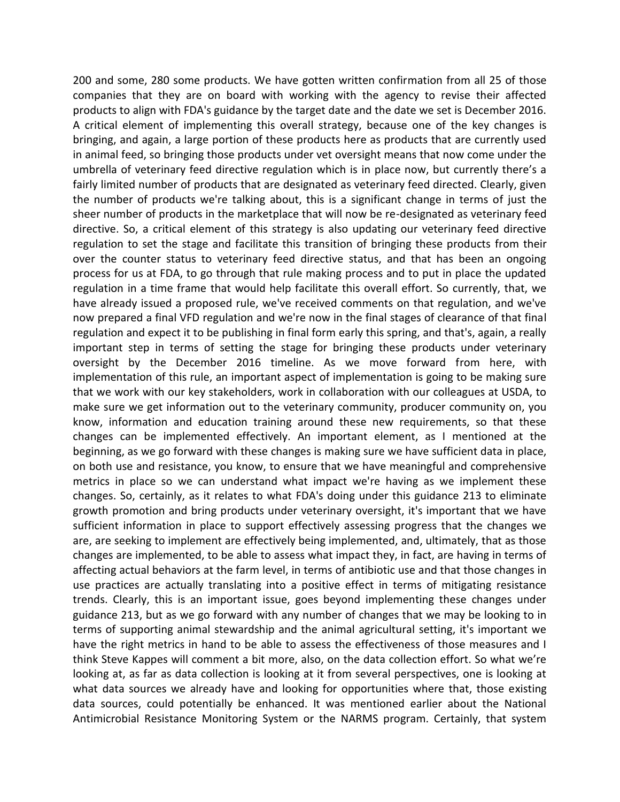200 and some, 280 some products. We have gotten written confirmation from all 25 of those companies that they are on board with working with the agency to revise their affected products to align with FDA's guidance by the target date and the date we set is December 2016. A critical element of implementing this overall strategy, because one of the key changes is bringing, and again, a large portion of these products here as products that are currently used in animal feed, so bringing those products under vet oversight means that now come under the umbrella of veterinary feed directive regulation which is in place now, but currently there's a fairly limited number of products that are designated as veterinary feed directed. Clearly, given the number of products we're talking about, this is a significant change in terms of just the sheer number of products in the marketplace that will now be re-designated as veterinary feed directive. So, a critical element of this strategy is also updating our veterinary feed directive regulation to set the stage and facilitate this transition of bringing these products from their over the counter status to veterinary feed directive status, and that has been an ongoing process for us at FDA, to go through that rule making process and to put in place the updated regulation in a time frame that would help facilitate this overall effort. So currently, that, we have already issued a proposed rule, we've received comments on that regulation, and we've now prepared a final VFD regulation and we're now in the final stages of clearance of that final regulation and expect it to be publishing in final form early this spring, and that's, again, a really important step in terms of setting the stage for bringing these products under veterinary oversight by the December 2016 timeline. As we move forward from here, with implementation of this rule, an important aspect of implementation is going to be making sure that we work with our key stakeholders, work in collaboration with our colleagues at USDA, to make sure we get information out to the veterinary community, producer community on, you know, information and education training around these new requirements, so that these changes can be implemented effectively. An important element, as I mentioned at the beginning, as we go forward with these changes is making sure we have sufficient data in place, on both use and resistance, you know, to ensure that we have meaningful and comprehensive metrics in place so we can understand what impact we're having as we implement these changes. So, certainly, as it relates to what FDA's doing under this guidance 213 to eliminate growth promotion and bring products under veterinary oversight, it's important that we have sufficient information in place to support effectively assessing progress that the changes we are, are seeking to implement are effectively being implemented, and, ultimately, that as those changes are implemented, to be able to assess what impact they, in fact, are having in terms of affecting actual behaviors at the farm level, in terms of antibiotic use and that those changes in use practices are actually translating into a positive effect in terms of mitigating resistance trends. Clearly, this is an important issue, goes beyond implementing these changes under guidance 213, but as we go forward with any number of changes that we may be looking to in terms of supporting animal stewardship and the animal agricultural setting, it's important we have the right metrics in hand to be able to assess the effectiveness of those measures and I think Steve Kappes will comment a bit more, also, on the data collection effort. So what we're looking at, as far as data collection is looking at it from several perspectives, one is looking at what data sources we already have and looking for opportunities where that, those existing data sources, could potentially be enhanced. It was mentioned earlier about the National Antimicrobial Resistance Monitoring System or the NARMS program. Certainly, that system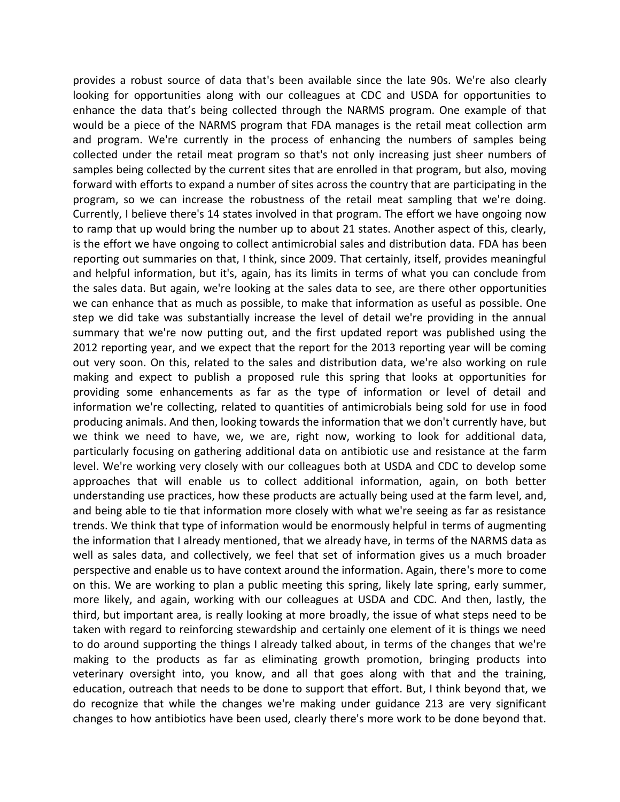provides a robust source of data that's been available since the late 90s. We're also clearly looking for opportunities along with our colleagues at CDC and USDA for opportunities to enhance the data that's being collected through the NARMS program. One example of that would be a piece of the NARMS program that FDA manages is the retail meat collection arm and program. We're currently in the process of enhancing the numbers of samples being collected under the retail meat program so that's not only increasing just sheer numbers of samples being collected by the current sites that are enrolled in that program, but also, moving forward with efforts to expand a number of sites across the country that are participating in the program, so we can increase the robustness of the retail meat sampling that we're doing. Currently, I believe there's 14 states involved in that program. The effort we have ongoing now to ramp that up would bring the number up to about 21 states. Another aspect of this, clearly, is the effort we have ongoing to collect antimicrobial sales and distribution data. FDA has been reporting out summaries on that, I think, since 2009. That certainly, itself, provides meaningful and helpful information, but it's, again, has its limits in terms of what you can conclude from the sales data. But again, we're looking at the sales data to see, are there other opportunities we can enhance that as much as possible, to make that information as useful as possible. One step we did take was substantially increase the level of detail we're providing in the annual summary that we're now putting out, and the first updated report was published using the 2012 reporting year, and we expect that the report for the 2013 reporting year will be coming out very soon. On this, related to the sales and distribution data, we're also working on rule making and expect to publish a proposed rule this spring that looks at opportunities for providing some enhancements as far as the type of information or level of detail and information we're collecting, related to quantities of antimicrobials being sold for use in food producing animals. And then, looking towards the information that we don't currently have, but we think we need to have, we, we are, right now, working to look for additional data, particularly focusing on gathering additional data on antibiotic use and resistance at the farm level. We're working very closely with our colleagues both at USDA and CDC to develop some approaches that will enable us to collect additional information, again, on both better understanding use practices, how these products are actually being used at the farm level, and, and being able to tie that information more closely with what we're seeing as far as resistance trends. We think that type of information would be enormously helpful in terms of augmenting the information that I already mentioned, that we already have, in terms of the NARMS data as well as sales data, and collectively, we feel that set of information gives us a much broader perspective and enable us to have context around the information. Again, there's more to come on this. We are working to plan a public meeting this spring, likely late spring, early summer, more likely, and again, working with our colleagues at USDA and CDC. And then, lastly, the third, but important area, is really looking at more broadly, the issue of what steps need to be taken with regard to reinforcing stewardship and certainly one element of it is things we need to do around supporting the things I already talked about, in terms of the changes that we're making to the products as far as eliminating growth promotion, bringing products into veterinary oversight into, you know, and all that goes along with that and the training, education, outreach that needs to be done to support that effort. But, I think beyond that, we do recognize that while the changes we're making under guidance 213 are very significant changes to how antibiotics have been used, clearly there's more work to be done beyond that.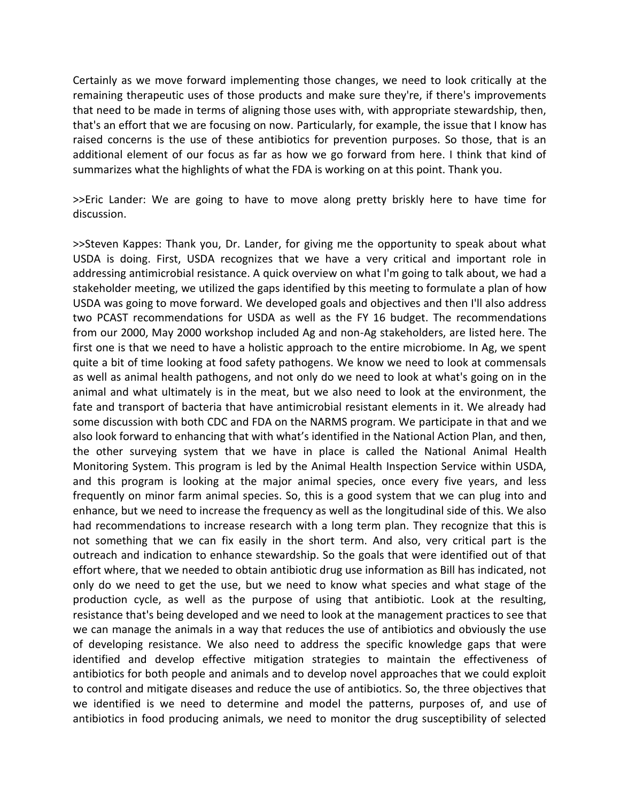Certainly as we move forward implementing those changes, we need to look critically at the remaining therapeutic uses of those products and make sure they're, if there's improvements that need to be made in terms of aligning those uses with, with appropriate stewardship, then, that's an effort that we are focusing on now. Particularly, for example, the issue that I know has raised concerns is the use of these antibiotics for prevention purposes. So those, that is an additional element of our focus as far as how we go forward from here. I think that kind of summarizes what the highlights of what the FDA is working on at this point. Thank you.

>>Eric Lander: We are going to have to move along pretty briskly here to have time for discussion.

>>Steven Kappes: Thank you, Dr. Lander, for giving me the opportunity to speak about what USDA is doing. First, USDA recognizes that we have a very critical and important role in addressing antimicrobial resistance. A quick overview on what I'm going to talk about, we had a stakeholder meeting, we utilized the gaps identified by this meeting to formulate a plan of how USDA was going to move forward. We developed goals and objectives and then I'll also address two PCAST recommendations for USDA as well as the FY 16 budget. The recommendations from our 2000, May 2000 workshop included Ag and non-Ag stakeholders, are listed here. The first one is that we need to have a holistic approach to the entire microbiome. In Ag, we spent quite a bit of time looking at food safety pathogens. We know we need to look at commensals as well as animal health pathogens, and not only do we need to look at what's going on in the animal and what ultimately is in the meat, but we also need to look at the environment, the fate and transport of bacteria that have antimicrobial resistant elements in it. We already had some discussion with both CDC and FDA on the NARMS program. We participate in that and we also look forward to enhancing that with what's identified in the National Action Plan, and then, the other surveying system that we have in place is called the National Animal Health Monitoring System. This program is led by the Animal Health Inspection Service within USDA, and this program is looking at the major animal species, once every five years, and less frequently on minor farm animal species. So, this is a good system that we can plug into and enhance, but we need to increase the frequency as well as the longitudinal side of this. We also had recommendations to increase research with a long term plan. They recognize that this is not something that we can fix easily in the short term. And also, very critical part is the outreach and indication to enhance stewardship. So the goals that were identified out of that effort where, that we needed to obtain antibiotic drug use information as Bill has indicated, not only do we need to get the use, but we need to know what species and what stage of the production cycle, as well as the purpose of using that antibiotic. Look at the resulting, resistance that's being developed and we need to look at the management practices to see that we can manage the animals in a way that reduces the use of antibiotics and obviously the use of developing resistance. We also need to address the specific knowledge gaps that were identified and develop effective mitigation strategies to maintain the effectiveness of antibiotics for both people and animals and to develop novel approaches that we could exploit to control and mitigate diseases and reduce the use of antibiotics. So, the three objectives that we identified is we need to determine and model the patterns, purposes of, and use of antibiotics in food producing animals, we need to monitor the drug susceptibility of selected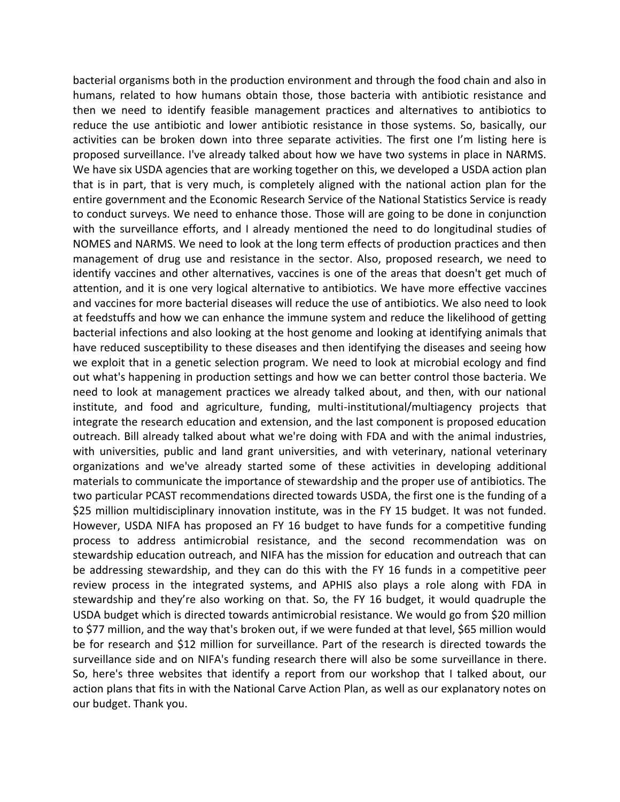bacterial organisms both in the production environment and through the food chain and also in humans, related to how humans obtain those, those bacteria with antibiotic resistance and then we need to identify feasible management practices and alternatives to antibiotics to reduce the use antibiotic and lower antibiotic resistance in those systems. So, basically, our activities can be broken down into three separate activities. The first one I'm listing here is proposed surveillance. I've already talked about how we have two systems in place in NARMS. We have six USDA agencies that are working together on this, we developed a USDA action plan that is in part, that is very much, is completely aligned with the national action plan for the entire government and the Economic Research Service of the National Statistics Service is ready to conduct surveys. We need to enhance those. Those will are going to be done in conjunction with the surveillance efforts, and I already mentioned the need to do longitudinal studies of NOMES and NARMS. We need to look at the long term effects of production practices and then management of drug use and resistance in the sector. Also, proposed research, we need to identify vaccines and other alternatives, vaccines is one of the areas that doesn't get much of attention, and it is one very logical alternative to antibiotics. We have more effective vaccines and vaccines for more bacterial diseases will reduce the use of antibiotics. We also need to look at feedstuffs and how we can enhance the immune system and reduce the likelihood of getting bacterial infections and also looking at the host genome and looking at identifying animals that have reduced susceptibility to these diseases and then identifying the diseases and seeing how we exploit that in a genetic selection program. We need to look at microbial ecology and find out what's happening in production settings and how we can better control those bacteria. We need to look at management practices we already talked about, and then, with our national institute, and food and agriculture, funding, multi-institutional/multiagency projects that integrate the research education and extension, and the last component is proposed education outreach. Bill already talked about what we're doing with FDA and with the animal industries, with universities, public and land grant universities, and with veterinary, national veterinary organizations and we've already started some of these activities in developing additional materials to communicate the importance of stewardship and the proper use of antibiotics. The two particular PCAST recommendations directed towards USDA, the first one is the funding of a \$25 million multidisciplinary innovation institute, was in the FY 15 budget. It was not funded. However, USDA NIFA has proposed an FY 16 budget to have funds for a competitive funding process to address antimicrobial resistance, and the second recommendation was on stewardship education outreach, and NIFA has the mission for education and outreach that can be addressing stewardship, and they can do this with the FY 16 funds in a competitive peer review process in the integrated systems, and APHIS also plays a role along with FDA in stewardship and they're also working on that. So, the FY 16 budget, it would quadruple the USDA budget which is directed towards antimicrobial resistance. We would go from \$20 million to \$77 million, and the way that's broken out, if we were funded at that level, \$65 million would be for research and \$12 million for surveillance. Part of the research is directed towards the surveillance side and on NIFA's funding research there will also be some surveillance in there. So, here's three websites that identify a report from our workshop that I talked about, our action plans that fits in with the National Carve Action Plan, as well as our explanatory notes on our budget. Thank you.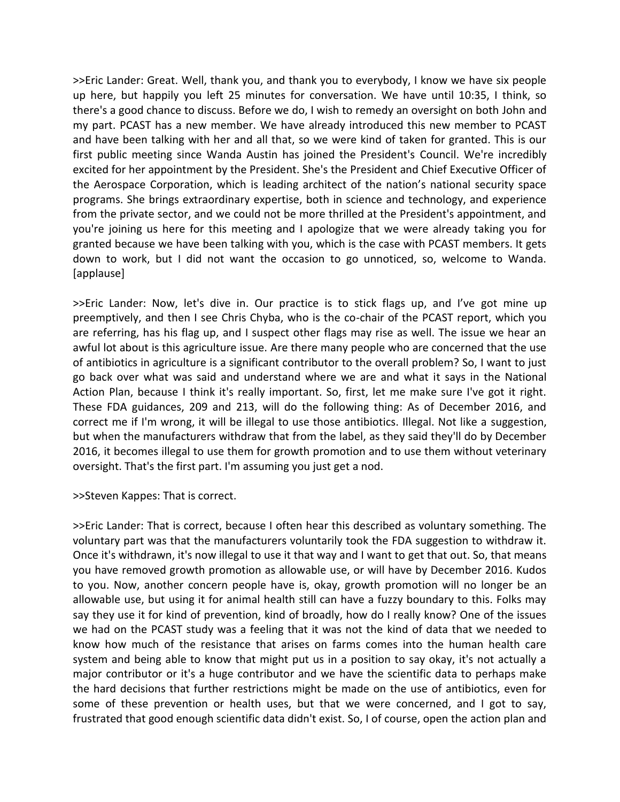>>Eric Lander: Great. Well, thank you, and thank you to everybody, I know we have six people up here, but happily you left 25 minutes for conversation. We have until 10:35, I think, so there's a good chance to discuss. Before we do, I wish to remedy an oversight on both John and my part. PCAST has a new member. We have already introduced this new member to PCAST and have been talking with her and all that, so we were kind of taken for granted. This is our first public meeting since Wanda Austin has joined the President's Council. We're incredibly excited for her appointment by the President. She's the President and Chief Executive Officer of the Aerospace Corporation, which is leading architect of the nation's national security space programs. She brings extraordinary expertise, both in science and technology, and experience from the private sector, and we could not be more thrilled at the President's appointment, and you're joining us here for this meeting and I apologize that we were already taking you for granted because we have been talking with you, which is the case with PCAST members. It gets down to work, but I did not want the occasion to go unnoticed, so, welcome to Wanda. [applause]

>>Eric Lander: Now, let's dive in. Our practice is to stick flags up, and I've got mine up preemptively, and then I see Chris Chyba, who is the co-chair of the PCAST report, which you are referring, has his flag up, and I suspect other flags may rise as well. The issue we hear an awful lot about is this agriculture issue. Are there many people who are concerned that the use of antibiotics in agriculture is a significant contributor to the overall problem? So, I want to just go back over what was said and understand where we are and what it says in the National Action Plan, because I think it's really important. So, first, let me make sure I've got it right. These FDA guidances, 209 and 213, will do the following thing: As of December 2016, and correct me if I'm wrong, it will be illegal to use those antibiotics. Illegal. Not like a suggestion, but when the manufacturers withdraw that from the label, as they said they'll do by December 2016, it becomes illegal to use them for growth promotion and to use them without veterinary oversight. That's the first part. I'm assuming you just get a nod.

>>Steven Kappes: That is correct.

>>Eric Lander: That is correct, because I often hear this described as voluntary something. The voluntary part was that the manufacturers voluntarily took the FDA suggestion to withdraw it. Once it's withdrawn, it's now illegal to use it that way and I want to get that out. So, that means you have removed growth promotion as allowable use, or will have by December 2016. Kudos to you. Now, another concern people have is, okay, growth promotion will no longer be an allowable use, but using it for animal health still can have a fuzzy boundary to this. Folks may say they use it for kind of prevention, kind of broadly, how do I really know? One of the issues we had on the PCAST study was a feeling that it was not the kind of data that we needed to know how much of the resistance that arises on farms comes into the human health care system and being able to know that might put us in a position to say okay, it's not actually a major contributor or it's a huge contributor and we have the scientific data to perhaps make the hard decisions that further restrictions might be made on the use of antibiotics, even for some of these prevention or health uses, but that we were concerned, and I got to say, frustrated that good enough scientific data didn't exist. So, I of course, open the action plan and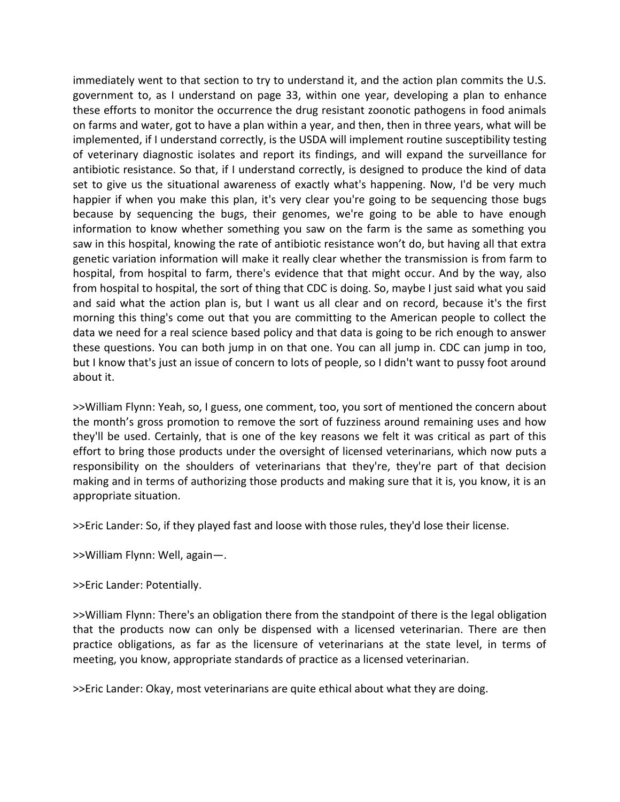immediately went to that section to try to understand it, and the action plan commits the U.S. government to, as I understand on page 33, within one year, developing a plan to enhance these efforts to monitor the occurrence the drug resistant zoonotic pathogens in food animals on farms and water, got to have a plan within a year, and then, then in three years, what will be implemented, if I understand correctly, is the USDA will implement routine susceptibility testing of veterinary diagnostic isolates and report its findings, and will expand the surveillance for antibiotic resistance. So that, if I understand correctly, is designed to produce the kind of data set to give us the situational awareness of exactly what's happening. Now, I'd be very much happier if when you make this plan, it's very clear you're going to be sequencing those bugs because by sequencing the bugs, their genomes, we're going to be able to have enough information to know whether something you saw on the farm is the same as something you saw in this hospital, knowing the rate of antibiotic resistance won't do, but having all that extra genetic variation information will make it really clear whether the transmission is from farm to hospital, from hospital to farm, there's evidence that that might occur. And by the way, also from hospital to hospital, the sort of thing that CDC is doing. So, maybe I just said what you said and said what the action plan is, but I want us all clear and on record, because it's the first morning this thing's come out that you are committing to the American people to collect the data we need for a real science based policy and that data is going to be rich enough to answer these questions. You can both jump in on that one. You can all jump in. CDC can jump in too, but I know that's just an issue of concern to lots of people, so I didn't want to pussy foot around about it.

>>William Flynn: Yeah, so, I guess, one comment, too, you sort of mentioned the concern about the month's gross promotion to remove the sort of fuzziness around remaining uses and how they'll be used. Certainly, that is one of the key reasons we felt it was critical as part of this effort to bring those products under the oversight of licensed veterinarians, which now puts a responsibility on the shoulders of veterinarians that they're, they're part of that decision making and in terms of authorizing those products and making sure that it is, you know, it is an appropriate situation.

>>Eric Lander: So, if they played fast and loose with those rules, they'd lose their license.

>>William Flynn: Well, again—.

>>Eric Lander: Potentially.

>>William Flynn: There's an obligation there from the standpoint of there is the legal obligation that the products now can only be dispensed with a licensed veterinarian. There are then practice obligations, as far as the licensure of veterinarians at the state level, in terms of meeting, you know, appropriate standards of practice as a licensed veterinarian.

>>Eric Lander: Okay, most veterinarians are quite ethical about what they are doing.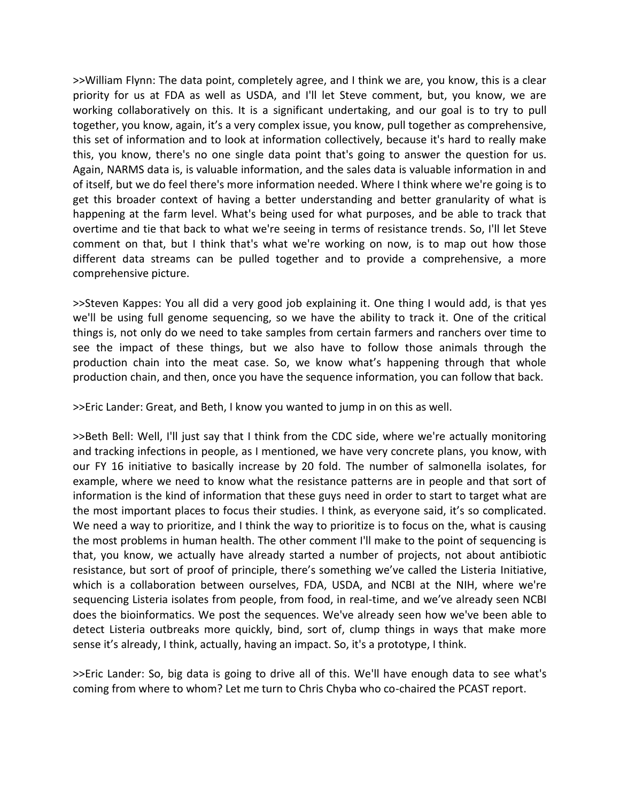>>William Flynn: The data point, completely agree, and I think we are, you know, this is a clear priority for us at FDA as well as USDA, and I'll let Steve comment, but, you know, we are working collaboratively on this. It is a significant undertaking, and our goal is to try to pull together, you know, again, it's a very complex issue, you know, pull together as comprehensive, this set of information and to look at information collectively, because it's hard to really make this, you know, there's no one single data point that's going to answer the question for us. Again, NARMS data is, is valuable information, and the sales data is valuable information in and of itself, but we do feel there's more information needed. Where I think where we're going is to get this broader context of having a better understanding and better granularity of what is happening at the farm level. What's being used for what purposes, and be able to track that overtime and tie that back to what we're seeing in terms of resistance trends. So, I'll let Steve comment on that, but I think that's what we're working on now, is to map out how those different data streams can be pulled together and to provide a comprehensive, a more comprehensive picture.

>>Steven Kappes: You all did a very good job explaining it. One thing I would add, is that yes we'll be using full genome sequencing, so we have the ability to track it. One of the critical things is, not only do we need to take samples from certain farmers and ranchers over time to see the impact of these things, but we also have to follow those animals through the production chain into the meat case. So, we know what's happening through that whole production chain, and then, once you have the sequence information, you can follow that back.

>>Eric Lander: Great, and Beth, I know you wanted to jump in on this as well.

>>Beth Bell: Well, I'll just say that I think from the CDC side, where we're actually monitoring and tracking infections in people, as I mentioned, we have very concrete plans, you know, with our FY 16 initiative to basically increase by 20 fold. The number of salmonella isolates, for example, where we need to know what the resistance patterns are in people and that sort of information is the kind of information that these guys need in order to start to target what are the most important places to focus their studies. I think, as everyone said, it's so complicated. We need a way to prioritize, and I think the way to prioritize is to focus on the, what is causing the most problems in human health. The other comment I'll make to the point of sequencing is that, you know, we actually have already started a number of projects, not about antibiotic resistance, but sort of proof of principle, there's something we've called the Listeria Initiative, which is a collaboration between ourselves, FDA, USDA, and NCBI at the NIH, where we're sequencing Listeria isolates from people, from food, in real-time, and we've already seen NCBI does the bioinformatics. We post the sequences. We've already seen how we've been able to detect Listeria outbreaks more quickly, bind, sort of, clump things in ways that make more sense it's already, I think, actually, having an impact. So, it's a prototype, I think.

>>Eric Lander: So, big data is going to drive all of this. We'll have enough data to see what's coming from where to whom? Let me turn to Chris Chyba who co-chaired the PCAST report.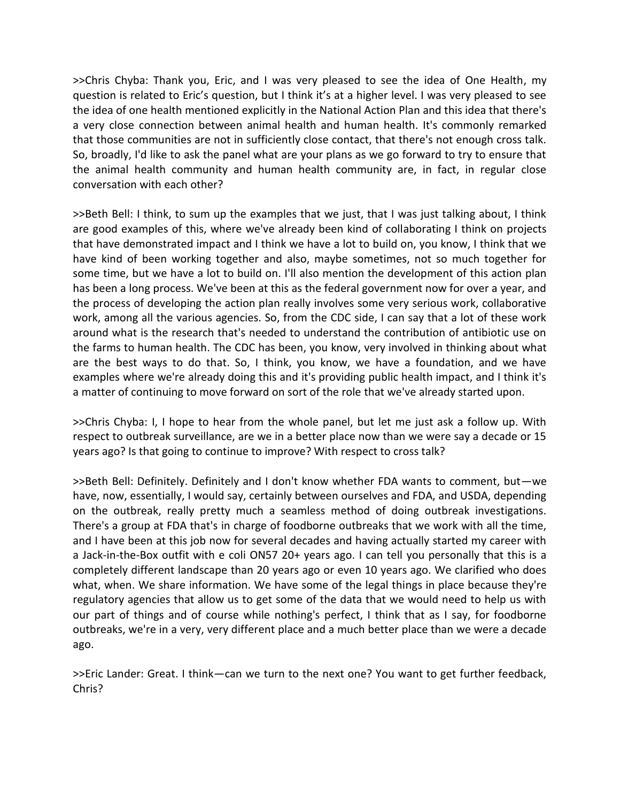>>Chris Chyba: Thank you, Eric, and I was very pleased to see the idea of One Health, my question is related to Eric's question, but I think it's at a higher level. I was very pleased to see the idea of one health mentioned explicitly in the National Action Plan and this idea that there's a very close connection between animal health and human health. It's commonly remarked that those communities are not in sufficiently close contact, that there's not enough cross talk. So, broadly, I'd like to ask the panel what are your plans as we go forward to try to ensure that the animal health community and human health community are, in fact, in regular close conversation with each other?

>>Beth Bell: I think, to sum up the examples that we just, that I was just talking about, I think are good examples of this, where we've already been kind of collaborating I think on projects that have demonstrated impact and I think we have a lot to build on, you know, I think that we have kind of been working together and also, maybe sometimes, not so much together for some time, but we have a lot to build on. I'll also mention the development of this action plan has been a long process. We've been at this as the federal government now for over a year, and the process of developing the action plan really involves some very serious work, collaborative work, among all the various agencies. So, from the CDC side, I can say that a lot of these work around what is the research that's needed to understand the contribution of antibiotic use on the farms to human health. The CDC has been, you know, very involved in thinking about what are the best ways to do that. So, I think, you know, we have a foundation, and we have examples where we're already doing this and it's providing public health impact, and I think it's a matter of continuing to move forward on sort of the role that we've already started upon.

>>Chris Chyba: I, I hope to hear from the whole panel, but let me just ask a follow up. With respect to outbreak surveillance, are we in a better place now than we were say a decade or 15 years ago? Is that going to continue to improve? With respect to cross talk?

>>Beth Bell: Definitely. Definitely and I don't know whether FDA wants to comment, but—we have, now, essentially, I would say, certainly between ourselves and FDA, and USDA, depending on the outbreak, really pretty much a seamless method of doing outbreak investigations. There's a group at FDA that's in charge of foodborne outbreaks that we work with all the time, and I have been at this job now for several decades and having actually started my career with a Jack-in-the-Box outfit with e coli ON57 20+ years ago. I can tell you personally that this is a completely different landscape than 20 years ago or even 10 years ago. We clarified who does what, when. We share information. We have some of the legal things in place because they're regulatory agencies that allow us to get some of the data that we would need to help us with our part of things and of course while nothing's perfect, I think that as I say, for foodborne outbreaks, we're in a very, very different place and a much better place than we were a decade ago.

>>Eric Lander: Great. I think—can we turn to the next one? You want to get further feedback, Chris?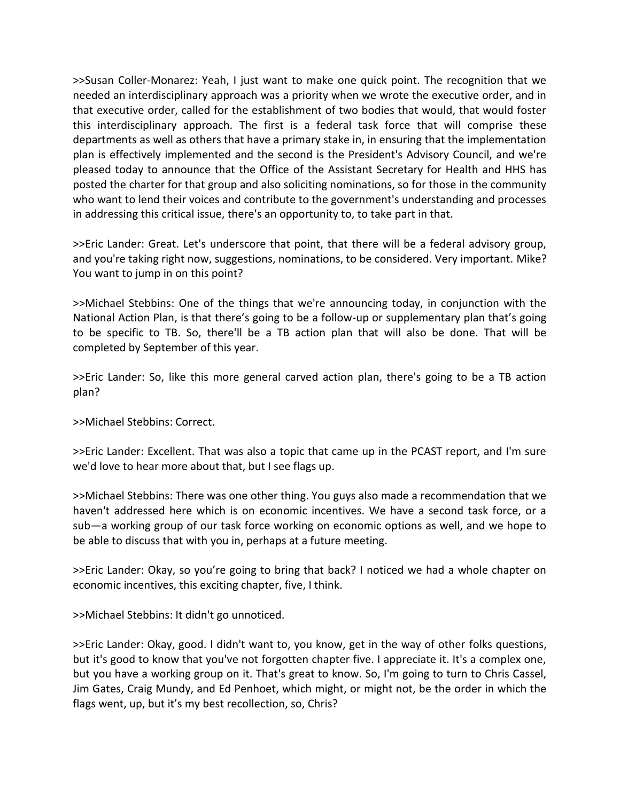>>Susan Coller-Monarez: Yeah, I just want to make one quick point. The recognition that we needed an interdisciplinary approach was a priority when we wrote the executive order, and in that executive order, called for the establishment of two bodies that would, that would foster this interdisciplinary approach. The first is a federal task force that will comprise these departments as well as others that have a primary stake in, in ensuring that the implementation plan is effectively implemented and the second is the President's Advisory Council, and we're pleased today to announce that the Office of the Assistant Secretary for Health and HHS has posted the charter for that group and also soliciting nominations, so for those in the community who want to lend their voices and contribute to the government's understanding and processes in addressing this critical issue, there's an opportunity to, to take part in that.

>>Eric Lander: Great. Let's underscore that point, that there will be a federal advisory group, and you're taking right now, suggestions, nominations, to be considered. Very important. Mike? You want to jump in on this point?

>>Michael Stebbins: One of the things that we're announcing today, in conjunction with the National Action Plan, is that there's going to be a follow-up or supplementary plan that's going to be specific to TB. So, there'll be a TB action plan that will also be done. That will be completed by September of this year.

>>Eric Lander: So, like this more general carved action plan, there's going to be a TB action plan?

>>Michael Stebbins: Correct.

>>Eric Lander: Excellent. That was also a topic that came up in the PCAST report, and I'm sure we'd love to hear more about that, but I see flags up.

>>Michael Stebbins: There was one other thing. You guys also made a recommendation that we haven't addressed here which is on economic incentives. We have a second task force, or a sub—a working group of our task force working on economic options as well, and we hope to be able to discuss that with you in, perhaps at a future meeting.

>>Eric Lander: Okay, so you're going to bring that back? I noticed we had a whole chapter on economic incentives, this exciting chapter, five, I think.

>>Michael Stebbins: It didn't go unnoticed.

>>Eric Lander: Okay, good. I didn't want to, you know, get in the way of other folks questions, but it's good to know that you've not forgotten chapter five. I appreciate it. It's a complex one, but you have a working group on it. That's great to know. So, I'm going to turn to Chris Cassel, Jim Gates, Craig Mundy, and Ed Penhoet, which might, or might not, be the order in which the flags went, up, but it's my best recollection, so, Chris?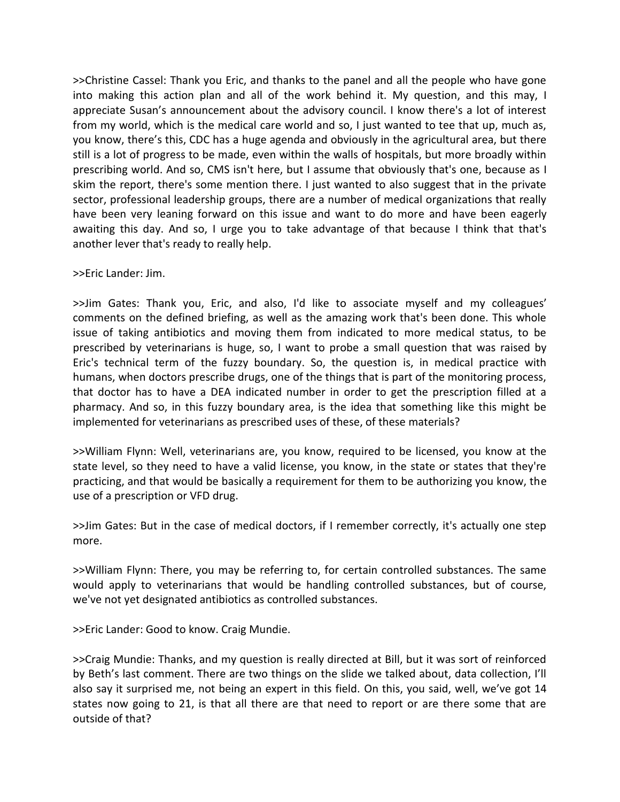>>Christine Cassel: Thank you Eric, and thanks to the panel and all the people who have gone into making this action plan and all of the work behind it. My question, and this may, I appreciate Susan's announcement about the advisory council. I know there's a lot of interest from my world, which is the medical care world and so, I just wanted to tee that up, much as, you know, there's this, CDC has a huge agenda and obviously in the agricultural area, but there still is a lot of progress to be made, even within the walls of hospitals, but more broadly within prescribing world. And so, CMS isn't here, but I assume that obviously that's one, because as I skim the report, there's some mention there. I just wanted to also suggest that in the private sector, professional leadership groups, there are a number of medical organizations that really have been very leaning forward on this issue and want to do more and have been eagerly awaiting this day. And so, I urge you to take advantage of that because I think that that's another lever that's ready to really help.

## >>Eric Lander: Jim.

>>Jim Gates: Thank you, Eric, and also, I'd like to associate myself and my colleagues' comments on the defined briefing, as well as the amazing work that's been done. This whole issue of taking antibiotics and moving them from indicated to more medical status, to be prescribed by veterinarians is huge, so, I want to probe a small question that was raised by Eric's technical term of the fuzzy boundary. So, the question is, in medical practice with humans, when doctors prescribe drugs, one of the things that is part of the monitoring process, that doctor has to have a DEA indicated number in order to get the prescription filled at a pharmacy. And so, in this fuzzy boundary area, is the idea that something like this might be implemented for veterinarians as prescribed uses of these, of these materials?

>>William Flynn: Well, veterinarians are, you know, required to be licensed, you know at the state level, so they need to have a valid license, you know, in the state or states that they're practicing, and that would be basically a requirement for them to be authorizing you know, the use of a prescription or VFD drug.

>>Jim Gates: But in the case of medical doctors, if I remember correctly, it's actually one step more.

>>William Flynn: There, you may be referring to, for certain controlled substances. The same would apply to veterinarians that would be handling controlled substances, but of course, we've not yet designated antibiotics as controlled substances.

>>Eric Lander: Good to know. Craig Mundie.

>>Craig Mundie: Thanks, and my question is really directed at Bill, but it was sort of reinforced by Beth's last comment. There are two things on the slide we talked about, data collection, I'll also say it surprised me, not being an expert in this field. On this, you said, well, we've got 14 states now going to 21, is that all there are that need to report or are there some that are outside of that?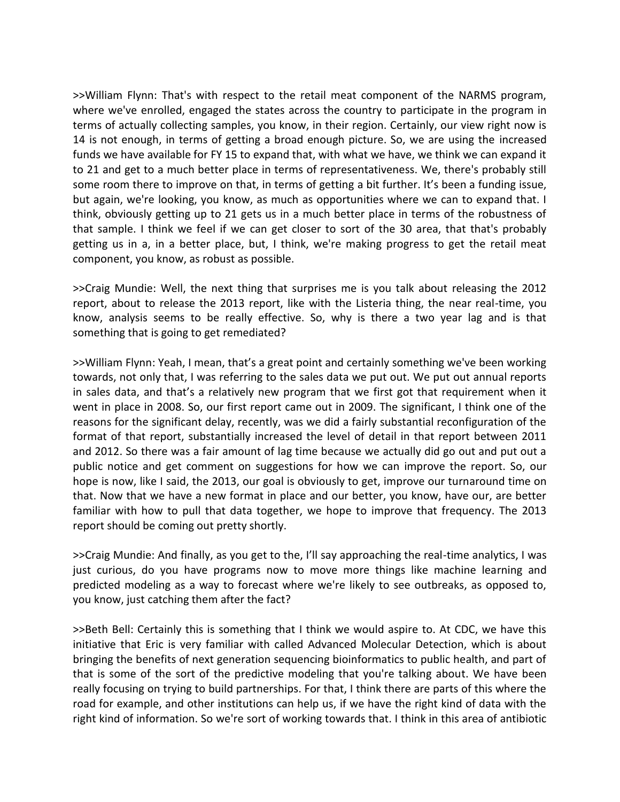>>William Flynn: That's with respect to the retail meat component of the NARMS program, where we've enrolled, engaged the states across the country to participate in the program in terms of actually collecting samples, you know, in their region. Certainly, our view right now is 14 is not enough, in terms of getting a broad enough picture. So, we are using the increased funds we have available for FY 15 to expand that, with what we have, we think we can expand it to 21 and get to a much better place in terms of representativeness. We, there's probably still some room there to improve on that, in terms of getting a bit further. It's been a funding issue, but again, we're looking, you know, as much as opportunities where we can to expand that. I think, obviously getting up to 21 gets us in a much better place in terms of the robustness of that sample. I think we feel if we can get closer to sort of the 30 area, that that's probably getting us in a, in a better place, but, I think, we're making progress to get the retail meat component, you know, as robust as possible.

>>Craig Mundie: Well, the next thing that surprises me is you talk about releasing the 2012 report, about to release the 2013 report, like with the Listeria thing, the near real-time, you know, analysis seems to be really effective. So, why is there a two year lag and is that something that is going to get remediated?

>>William Flynn: Yeah, I mean, that's a great point and certainly something we've been working towards, not only that, I was referring to the sales data we put out. We put out annual reports in sales data, and that's a relatively new program that we first got that requirement when it went in place in 2008. So, our first report came out in 2009. The significant, I think one of the reasons for the significant delay, recently, was we did a fairly substantial reconfiguration of the format of that report, substantially increased the level of detail in that report between 2011 and 2012. So there was a fair amount of lag time because we actually did go out and put out a public notice and get comment on suggestions for how we can improve the report. So, our hope is now, like I said, the 2013, our goal is obviously to get, improve our turnaround time on that. Now that we have a new format in place and our better, you know, have our, are better familiar with how to pull that data together, we hope to improve that frequency. The 2013 report should be coming out pretty shortly.

>>Craig Mundie: And finally, as you get to the, I'll say approaching the real-time analytics, I was just curious, do you have programs now to move more things like machine learning and predicted modeling as a way to forecast where we're likely to see outbreaks, as opposed to, you know, just catching them after the fact?

>>Beth Bell: Certainly this is something that I think we would aspire to. At CDC, we have this initiative that Eric is very familiar with called Advanced Molecular Detection, which is about bringing the benefits of next generation sequencing bioinformatics to public health, and part of that is some of the sort of the predictive modeling that you're talking about. We have been really focusing on trying to build partnerships. For that, I think there are parts of this where the road for example, and other institutions can help us, if we have the right kind of data with the right kind of information. So we're sort of working towards that. I think in this area of antibiotic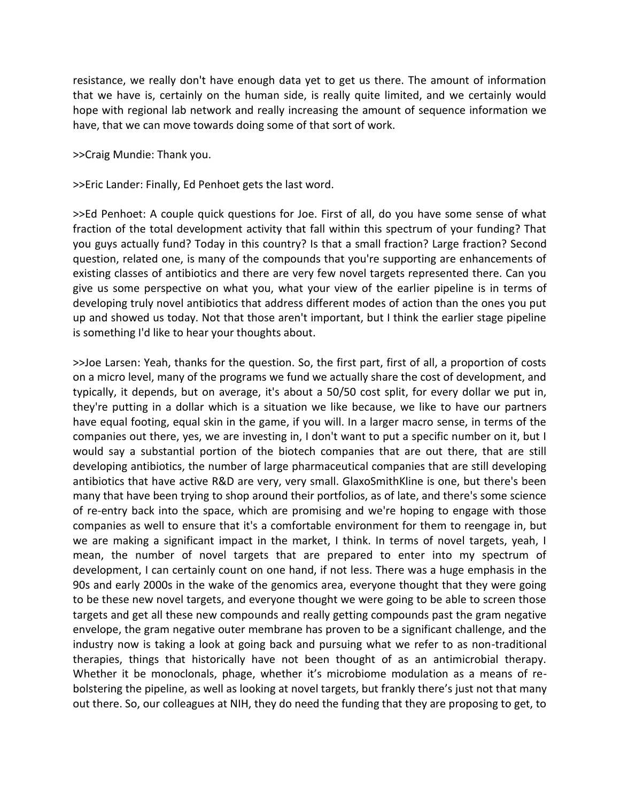resistance, we really don't have enough data yet to get us there. The amount of information that we have is, certainly on the human side, is really quite limited, and we certainly would hope with regional lab network and really increasing the amount of sequence information we have, that we can move towards doing some of that sort of work.

>>Craig Mundie: Thank you.

>>Eric Lander: Finally, Ed Penhoet gets the last word.

>>Ed Penhoet: A couple quick questions for Joe. First of all, do you have some sense of what fraction of the total development activity that fall within this spectrum of your funding? That you guys actually fund? Today in this country? Is that a small fraction? Large fraction? Second question, related one, is many of the compounds that you're supporting are enhancements of existing classes of antibiotics and there are very few novel targets represented there. Can you give us some perspective on what you, what your view of the earlier pipeline is in terms of developing truly novel antibiotics that address different modes of action than the ones you put up and showed us today. Not that those aren't important, but I think the earlier stage pipeline is something I'd like to hear your thoughts about.

>>Joe Larsen: Yeah, thanks for the question. So, the first part, first of all, a proportion of costs on a micro level, many of the programs we fund we actually share the cost of development, and typically, it depends, but on average, it's about a 50/50 cost split, for every dollar we put in, they're putting in a dollar which is a situation we like because, we like to have our partners have equal footing, equal skin in the game, if you will. In a larger macro sense, in terms of the companies out there, yes, we are investing in, I don't want to put a specific number on it, but I would say a substantial portion of the biotech companies that are out there, that are still developing antibiotics, the number of large pharmaceutical companies that are still developing antibiotics that have active R&D are very, very small. GlaxoSmithKline is one, but there's been many that have been trying to shop around their portfolios, as of late, and there's some science of re-entry back into the space, which are promising and we're hoping to engage with those companies as well to ensure that it's a comfortable environment for them to reengage in, but we are making a significant impact in the market, I think. In terms of novel targets, yeah, I mean, the number of novel targets that are prepared to enter into my spectrum of development, I can certainly count on one hand, if not less. There was a huge emphasis in the 90s and early 2000s in the wake of the genomics area, everyone thought that they were going to be these new novel targets, and everyone thought we were going to be able to screen those targets and get all these new compounds and really getting compounds past the gram negative envelope, the gram negative outer membrane has proven to be a significant challenge, and the industry now is taking a look at going back and pursuing what we refer to as non-traditional therapies, things that historically have not been thought of as an antimicrobial therapy. Whether it be monoclonals, phage, whether it's microbiome modulation as a means of rebolstering the pipeline, as well as looking at novel targets, but frankly there's just not that many out there. So, our colleagues at NIH, they do need the funding that they are proposing to get, to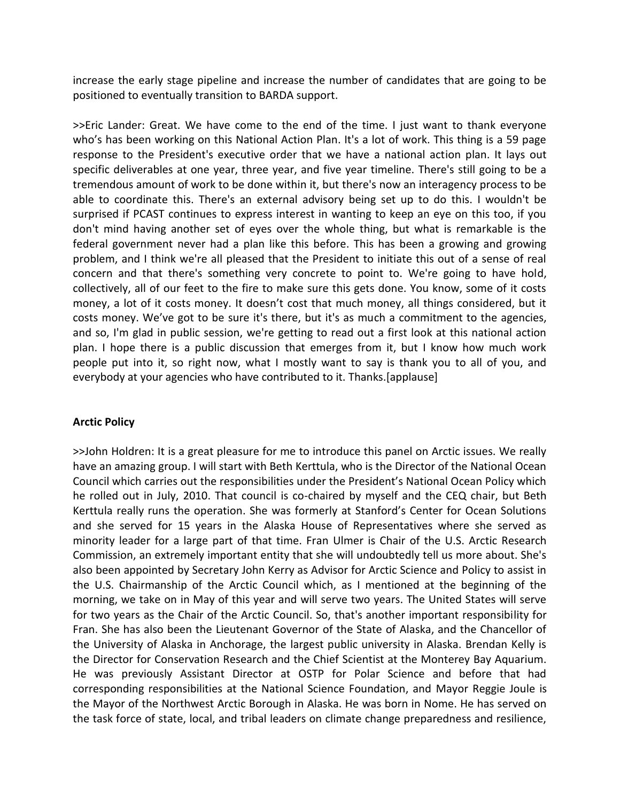increase the early stage pipeline and increase the number of candidates that are going to be positioned to eventually transition to BARDA support.

>>Eric Lander: Great. We have come to the end of the time. I just want to thank everyone who's has been working on this National Action Plan. It's a lot of work. This thing is a 59 page response to the President's executive order that we have a national action plan. It lays out specific deliverables at one year, three year, and five year timeline. There's still going to be a tremendous amount of work to be done within it, but there's now an interagency process to be able to coordinate this. There's an external advisory being set up to do this. I wouldn't be surprised if PCAST continues to express interest in wanting to keep an eye on this too, if you don't mind having another set of eyes over the whole thing, but what is remarkable is the federal government never had a plan like this before. This has been a growing and growing problem, and I think we're all pleased that the President to initiate this out of a sense of real concern and that there's something very concrete to point to. We're going to have hold, collectively, all of our feet to the fire to make sure this gets done. You know, some of it costs money, a lot of it costs money. It doesn't cost that much money, all things considered, but it costs money. We've got to be sure it's there, but it's as much a commitment to the agencies, and so, I'm glad in public session, we're getting to read out a first look at this national action plan. I hope there is a public discussion that emerges from it, but I know how much work people put into it, so right now, what I mostly want to say is thank you to all of you, and everybody at your agencies who have contributed to it. Thanks.[applause]

### **Arctic Policy**

>>John Holdren: It is a great pleasure for me to introduce this panel on Arctic issues. We really have an amazing group. I will start with Beth Kerttula, who is the Director of the National Ocean Council which carries out the responsibilities under the President's National Ocean Policy which he rolled out in July, 2010. That council is co-chaired by myself and the CEQ chair, but Beth Kerttula really runs the operation. She was formerly at Stanford's Center for Ocean Solutions and she served for 15 years in the Alaska House of Representatives where she served as minority leader for a large part of that time. Fran Ulmer is Chair of the U.S. Arctic Research Commission, an extremely important entity that she will undoubtedly tell us more about. She's also been appointed by Secretary John Kerry as Advisor for Arctic Science and Policy to assist in the U.S. Chairmanship of the Arctic Council which, as I mentioned at the beginning of the morning, we take on in May of this year and will serve two years. The United States will serve for two years as the Chair of the Arctic Council. So, that's another important responsibility for Fran. She has also been the Lieutenant Governor of the State of Alaska, and the Chancellor of the University of Alaska in Anchorage, the largest public university in Alaska. Brendan Kelly is the Director for Conservation Research and the Chief Scientist at the Monterey Bay Aquarium. He was previously Assistant Director at OSTP for Polar Science and before that had corresponding responsibilities at the National Science Foundation, and Mayor Reggie Joule is the Mayor of the Northwest Arctic Borough in Alaska. He was born in Nome. He has served on the task force of state, local, and tribal leaders on climate change preparedness and resilience,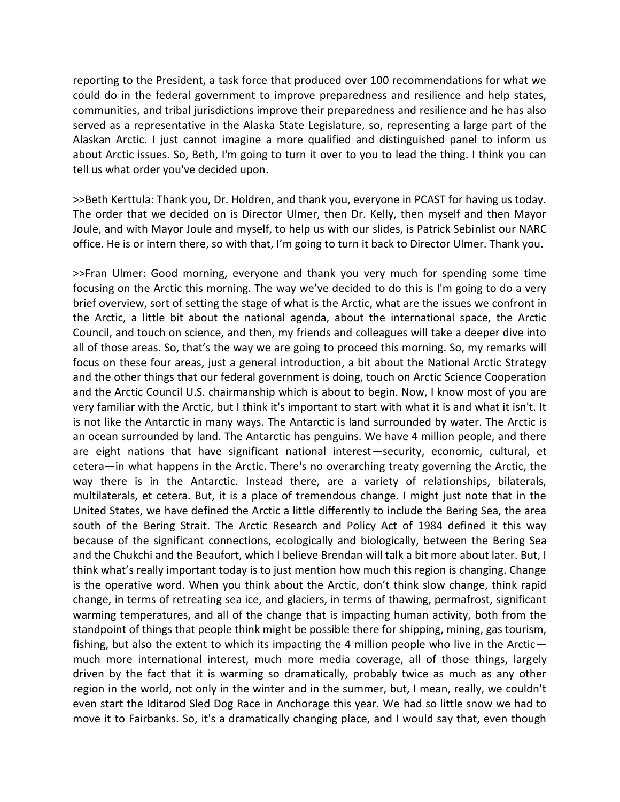reporting to the President, a task force that produced over 100 recommendations for what we could do in the federal government to improve preparedness and resilience and help states, communities, and tribal jurisdictions improve their preparedness and resilience and he has also served as a representative in the Alaska State Legislature, so, representing a large part of the Alaskan Arctic. I just cannot imagine a more qualified and distinguished panel to inform us about Arctic issues. So, Beth, I'm going to turn it over to you to lead the thing. I think you can tell us what order you've decided upon.

>>Beth Kerttula: Thank you, Dr. Holdren, and thank you, everyone in PCAST for having us today. The order that we decided on is Director Ulmer, then Dr. Kelly, then myself and then Mayor Joule, and with Mayor Joule and myself, to help us with our slides, is Patrick Sebinlist our NARC office. He is or intern there, so with that, I'm going to turn it back to Director Ulmer. Thank you.

>>Fran Ulmer: Good morning, everyone and thank you very much for spending some time focusing on the Arctic this morning. The way we've decided to do this is I'm going to do a very brief overview, sort of setting the stage of what is the Arctic, what are the issues we confront in the Arctic, a little bit about the national agenda, about the international space, the Arctic Council, and touch on science, and then, my friends and colleagues will take a deeper dive into all of those areas. So, that's the way we are going to proceed this morning. So, my remarks will focus on these four areas, just a general introduction, a bit about the National Arctic Strategy and the other things that our federal government is doing, touch on Arctic Science Cooperation and the Arctic Council U.S. chairmanship which is about to begin. Now, I know most of you are very familiar with the Arctic, but I think it's important to start with what it is and what it isn't. It is not like the Antarctic in many ways. The Antarctic is land surrounded by water. The Arctic is an ocean surrounded by land. The Antarctic has penguins. We have 4 million people, and there are eight nations that have significant national interest—security, economic, cultural, et cetera—in what happens in the Arctic. There's no overarching treaty governing the Arctic, the way there is in the Antarctic. Instead there, are a variety of relationships, bilaterals, multilaterals, et cetera. But, it is a place of tremendous change. I might just note that in the United States, we have defined the Arctic a little differently to include the Bering Sea, the area south of the Bering Strait. The Arctic Research and Policy Act of 1984 defined it this way because of the significant connections, ecologically and biologically, between the Bering Sea and the Chukchi and the Beaufort, which I believe Brendan will talk a bit more about later. But, I think what's really important today is to just mention how much this region is changing. Change is the operative word. When you think about the Arctic, don't think slow change, think rapid change, in terms of retreating sea ice, and glaciers, in terms of thawing, permafrost, significant warming temperatures, and all of the change that is impacting human activity, both from the standpoint of things that people think might be possible there for shipping, mining, gas tourism, fishing, but also the extent to which its impacting the 4 million people who live in the Arctic much more international interest, much more media coverage, all of those things, largely driven by the fact that it is warming so dramatically, probably twice as much as any other region in the world, not only in the winter and in the summer, but, I mean, really, we couldn't even start the Iditarod Sled Dog Race in Anchorage this year. We had so little snow we had to move it to Fairbanks. So, it's a dramatically changing place, and I would say that, even though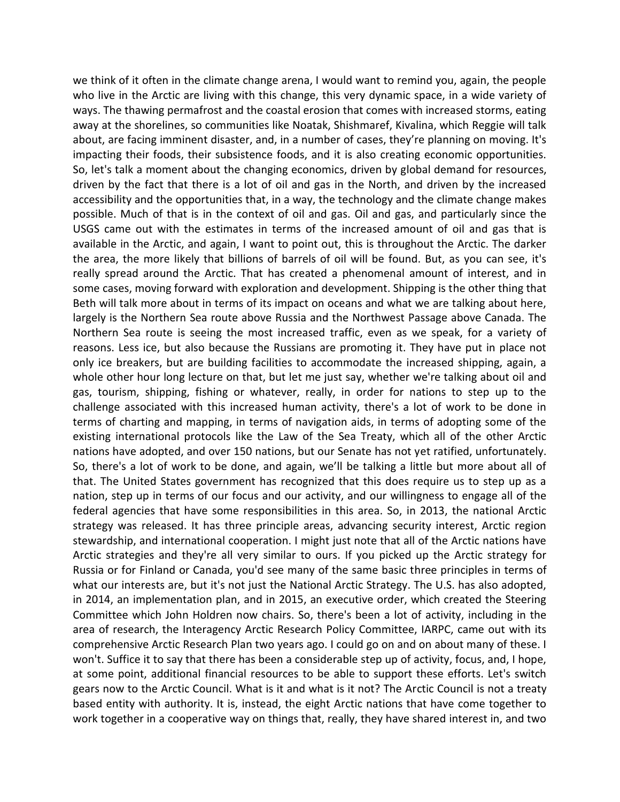we think of it often in the climate change arena, I would want to remind you, again, the people who live in the Arctic are living with this change, this very dynamic space, in a wide variety of ways. The thawing permafrost and the coastal erosion that comes with increased storms, eating away at the shorelines, so communities like Noatak, Shishmaref, Kivalina, which Reggie will talk about, are facing imminent disaster, and, in a number of cases, they're planning on moving. It's impacting their foods, their subsistence foods, and it is also creating economic opportunities. So, let's talk a moment about the changing economics, driven by global demand for resources, driven by the fact that there is a lot of oil and gas in the North, and driven by the increased accessibility and the opportunities that, in a way, the technology and the climate change makes possible. Much of that is in the context of oil and gas. Oil and gas, and particularly since the USGS came out with the estimates in terms of the increased amount of oil and gas that is available in the Arctic, and again, I want to point out, this is throughout the Arctic. The darker the area, the more likely that billions of barrels of oil will be found. But, as you can see, it's really spread around the Arctic. That has created a phenomenal amount of interest, and in some cases, moving forward with exploration and development. Shipping is the other thing that Beth will talk more about in terms of its impact on oceans and what we are talking about here, largely is the Northern Sea route above Russia and the Northwest Passage above Canada. The Northern Sea route is seeing the most increased traffic, even as we speak, for a variety of reasons. Less ice, but also because the Russians are promoting it. They have put in place not only ice breakers, but are building facilities to accommodate the increased shipping, again, a whole other hour long lecture on that, but let me just say, whether we're talking about oil and gas, tourism, shipping, fishing or whatever, really, in order for nations to step up to the challenge associated with this increased human activity, there's a lot of work to be done in terms of charting and mapping, in terms of navigation aids, in terms of adopting some of the existing international protocols like the Law of the Sea Treaty, which all of the other Arctic nations have adopted, and over 150 nations, but our Senate has not yet ratified, unfortunately. So, there's a lot of work to be done, and again, we'll be talking a little but more about all of that. The United States government has recognized that this does require us to step up as a nation, step up in terms of our focus and our activity, and our willingness to engage all of the federal agencies that have some responsibilities in this area. So, in 2013, the national Arctic strategy was released. It has three principle areas, advancing security interest, Arctic region stewardship, and international cooperation. I might just note that all of the Arctic nations have Arctic strategies and they're all very similar to ours. If you picked up the Arctic strategy for Russia or for Finland or Canada, you'd see many of the same basic three principles in terms of what our interests are, but it's not just the National Arctic Strategy. The U.S. has also adopted, in 2014, an implementation plan, and in 2015, an executive order, which created the Steering Committee which John Holdren now chairs. So, there's been a lot of activity, including in the area of research, the Interagency Arctic Research Policy Committee, IARPC, came out with its comprehensive Arctic Research Plan two years ago. I could go on and on about many of these. I won't. Suffice it to say that there has been a considerable step up of activity, focus, and, I hope, at some point, additional financial resources to be able to support these efforts. Let's switch gears now to the Arctic Council. What is it and what is it not? The Arctic Council is not a treaty based entity with authority. It is, instead, the eight Arctic nations that have come together to work together in a cooperative way on things that, really, they have shared interest in, and two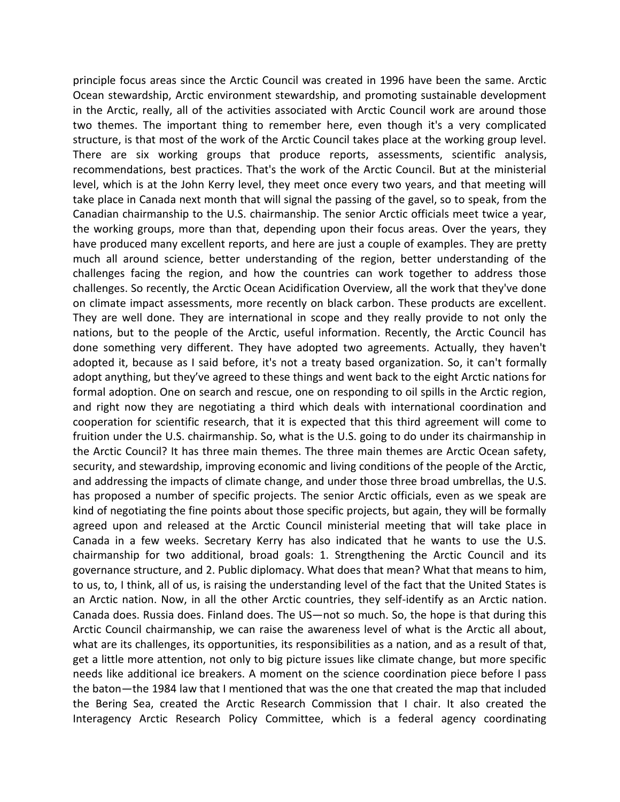principle focus areas since the Arctic Council was created in 1996 have been the same. Arctic Ocean stewardship, Arctic environment stewardship, and promoting sustainable development in the Arctic, really, all of the activities associated with Arctic Council work are around those two themes. The important thing to remember here, even though it's a very complicated structure, is that most of the work of the Arctic Council takes place at the working group level. There are six working groups that produce reports, assessments, scientific analysis, recommendations, best practices. That's the work of the Arctic Council. But at the ministerial level, which is at the John Kerry level, they meet once every two years, and that meeting will take place in Canada next month that will signal the passing of the gavel, so to speak, from the Canadian chairmanship to the U.S. chairmanship. The senior Arctic officials meet twice a year, the working groups, more than that, depending upon their focus areas. Over the years, they have produced many excellent reports, and here are just a couple of examples. They are pretty much all around science, better understanding of the region, better understanding of the challenges facing the region, and how the countries can work together to address those challenges. So recently, the Arctic Ocean Acidification Overview, all the work that they've done on climate impact assessments, more recently on black carbon. These products are excellent. They are well done. They are international in scope and they really provide to not only the nations, but to the people of the Arctic, useful information. Recently, the Arctic Council has done something very different. They have adopted two agreements. Actually, they haven't adopted it, because as I said before, it's not a treaty based organization. So, it can't formally adopt anything, but they've agreed to these things and went back to the eight Arctic nations for formal adoption. One on search and rescue, one on responding to oil spills in the Arctic region, and right now they are negotiating a third which deals with international coordination and cooperation for scientific research, that it is expected that this third agreement will come to fruition under the U.S. chairmanship. So, what is the U.S. going to do under its chairmanship in the Arctic Council? It has three main themes. The three main themes are Arctic Ocean safety, security, and stewardship, improving economic and living conditions of the people of the Arctic, and addressing the impacts of climate change, and under those three broad umbrellas, the U.S. has proposed a number of specific projects. The senior Arctic officials, even as we speak are kind of negotiating the fine points about those specific projects, but again, they will be formally agreed upon and released at the Arctic Council ministerial meeting that will take place in Canada in a few weeks. Secretary Kerry has also indicated that he wants to use the U.S. chairmanship for two additional, broad goals: 1. Strengthening the Arctic Council and its governance structure, and 2. Public diplomacy. What does that mean? What that means to him, to us, to, I think, all of us, is raising the understanding level of the fact that the United States is an Arctic nation. Now, in all the other Arctic countries, they self-identify as an Arctic nation. Canada does. Russia does. Finland does. The US—not so much. So, the hope is that during this Arctic Council chairmanship, we can raise the awareness level of what is the Arctic all about, what are its challenges, its opportunities, its responsibilities as a nation, and as a result of that, get a little more attention, not only to big picture issues like climate change, but more specific needs like additional ice breakers. A moment on the science coordination piece before I pass the baton—the 1984 law that I mentioned that was the one that created the map that included the Bering Sea, created the Arctic Research Commission that I chair. It also created the Interagency Arctic Research Policy Committee, which is a federal agency coordinating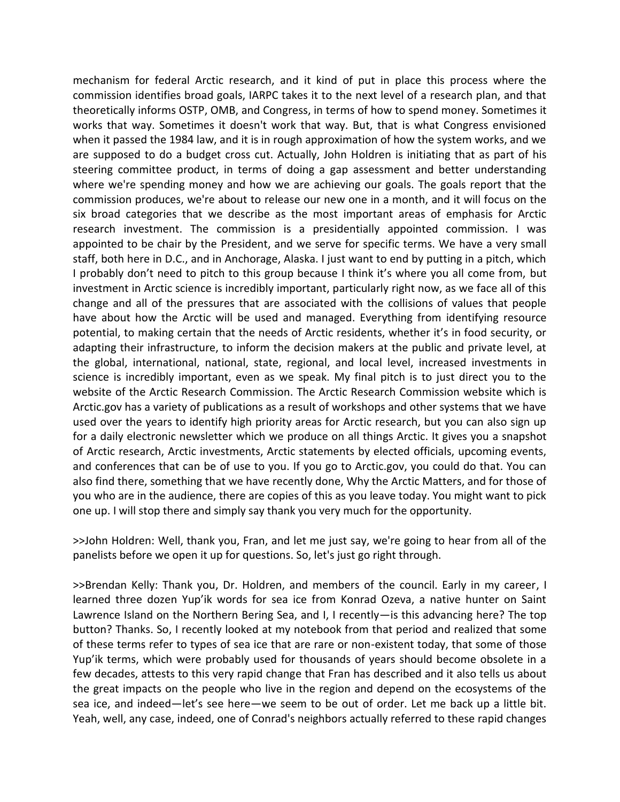mechanism for federal Arctic research, and it kind of put in place this process where the commission identifies broad goals, IARPC takes it to the next level of a research plan, and that theoretically informs OSTP, OMB, and Congress, in terms of how to spend money. Sometimes it works that way. Sometimes it doesn't work that way. But, that is what Congress envisioned when it passed the 1984 law, and it is in rough approximation of how the system works, and we are supposed to do a budget cross cut. Actually, John Holdren is initiating that as part of his steering committee product, in terms of doing a gap assessment and better understanding where we're spending money and how we are achieving our goals. The goals report that the commission produces, we're about to release our new one in a month, and it will focus on the six broad categories that we describe as the most important areas of emphasis for Arctic research investment. The commission is a presidentially appointed commission. I was appointed to be chair by the President, and we serve for specific terms. We have a very small staff, both here in D.C., and in Anchorage, Alaska. I just want to end by putting in a pitch, which I probably don't need to pitch to this group because I think it's where you all come from, but investment in Arctic science is incredibly important, particularly right now, as we face all of this change and all of the pressures that are associated with the collisions of values that people have about how the Arctic will be used and managed. Everything from identifying resource potential, to making certain that the needs of Arctic residents, whether it's in food security, or adapting their infrastructure, to inform the decision makers at the public and private level, at the global, international, national, state, regional, and local level, increased investments in science is incredibly important, even as we speak. My final pitch is to just direct you to the website of the Arctic Research Commission. The Arctic Research Commission website which is Arctic.gov has a variety of publications as a result of workshops and other systems that we have used over the years to identify high priority areas for Arctic research, but you can also sign up for a daily electronic newsletter which we produce on all things Arctic. It gives you a snapshot of Arctic research, Arctic investments, Arctic statements by elected officials, upcoming events, and conferences that can be of use to you. If you go to Arctic.gov, you could do that. You can also find there, something that we have recently done, Why the Arctic Matters, and for those of you who are in the audience, there are copies of this as you leave today. You might want to pick one up. I will stop there and simply say thank you very much for the opportunity.

>>John Holdren: Well, thank you, Fran, and let me just say, we're going to hear from all of the panelists before we open it up for questions. So, let's just go right through.

>>Brendan Kelly: Thank you, Dr. Holdren, and members of the council. Early in my career, I learned three dozen Yup'ik words for sea ice from Konrad Ozeva, a native hunter on Saint Lawrence Island on the Northern Bering Sea, and I, I recently—is this advancing here? The top button? Thanks. So, I recently looked at my notebook from that period and realized that some of these terms refer to types of sea ice that are rare or non-existent today, that some of those Yup'ik terms, which were probably used for thousands of years should become obsolete in a few decades, attests to this very rapid change that Fran has described and it also tells us about the great impacts on the people who live in the region and depend on the ecosystems of the sea ice, and indeed—let's see here—we seem to be out of order. Let me back up a little bit. Yeah, well, any case, indeed, one of Conrad's neighbors actually referred to these rapid changes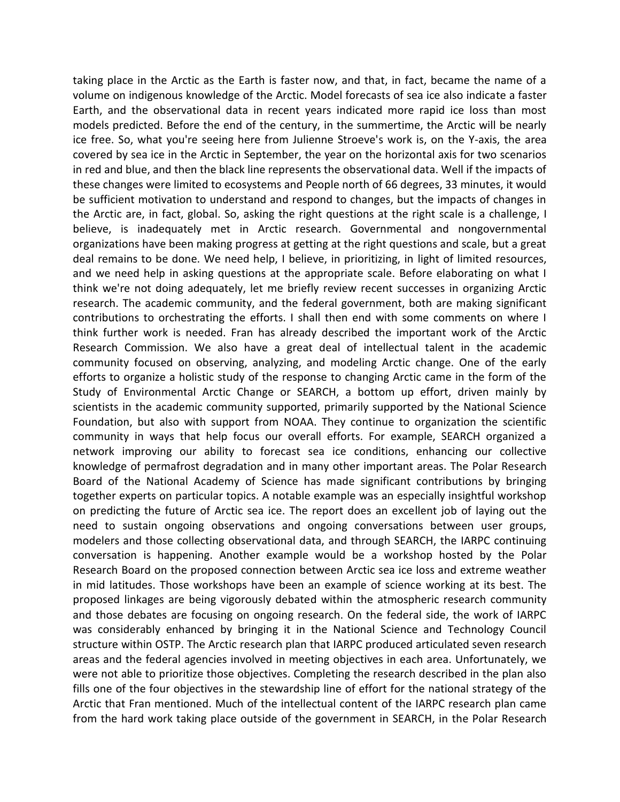taking place in the Arctic as the Earth is faster now, and that, in fact, became the name of a volume on indigenous knowledge of the Arctic. Model forecasts of sea ice also indicate a faster Earth, and the observational data in recent years indicated more rapid ice loss than most models predicted. Before the end of the century, in the summertime, the Arctic will be nearly ice free. So, what you're seeing here from Julienne Stroeve's work is, on the Y-axis, the area covered by sea ice in the Arctic in September, the year on the horizontal axis for two scenarios in red and blue, and then the black line represents the observational data. Well if the impacts of these changes were limited to ecosystems and People north of 66 degrees, 33 minutes, it would be sufficient motivation to understand and respond to changes, but the impacts of changes in the Arctic are, in fact, global. So, asking the right questions at the right scale is a challenge, I believe, is inadequately met in Arctic research. Governmental and nongovernmental organizations have been making progress at getting at the right questions and scale, but a great deal remains to be done. We need help, I believe, in prioritizing, in light of limited resources, and we need help in asking questions at the appropriate scale. Before elaborating on what I think we're not doing adequately, let me briefly review recent successes in organizing Arctic research. The academic community, and the federal government, both are making significant contributions to orchestrating the efforts. I shall then end with some comments on where I think further work is needed. Fran has already described the important work of the Arctic Research Commission. We also have a great deal of intellectual talent in the academic community focused on observing, analyzing, and modeling Arctic change. One of the early efforts to organize a holistic study of the response to changing Arctic came in the form of the Study of Environmental Arctic Change or SEARCH, a bottom up effort, driven mainly by scientists in the academic community supported, primarily supported by the National Science Foundation, but also with support from NOAA. They continue to organization the scientific community in ways that help focus our overall efforts. For example, SEARCH organized a network improving our ability to forecast sea ice conditions, enhancing our collective knowledge of permafrost degradation and in many other important areas. The Polar Research Board of the National Academy of Science has made significant contributions by bringing together experts on particular topics. A notable example was an especially insightful workshop on predicting the future of Arctic sea ice. The report does an excellent job of laying out the need to sustain ongoing observations and ongoing conversations between user groups, modelers and those collecting observational data, and through SEARCH, the IARPC continuing conversation is happening. Another example would be a workshop hosted by the Polar Research Board on the proposed connection between Arctic sea ice loss and extreme weather in mid latitudes. Those workshops have been an example of science working at its best. The proposed linkages are being vigorously debated within the atmospheric research community and those debates are focusing on ongoing research. On the federal side, the work of IARPC was considerably enhanced by bringing it in the National Science and Technology Council structure within OSTP. The Arctic research plan that IARPC produced articulated seven research areas and the federal agencies involved in meeting objectives in each area. Unfortunately, we were not able to prioritize those objectives. Completing the research described in the plan also fills one of the four objectives in the stewardship line of effort for the national strategy of the Arctic that Fran mentioned. Much of the intellectual content of the IARPC research plan came from the hard work taking place outside of the government in SEARCH, in the Polar Research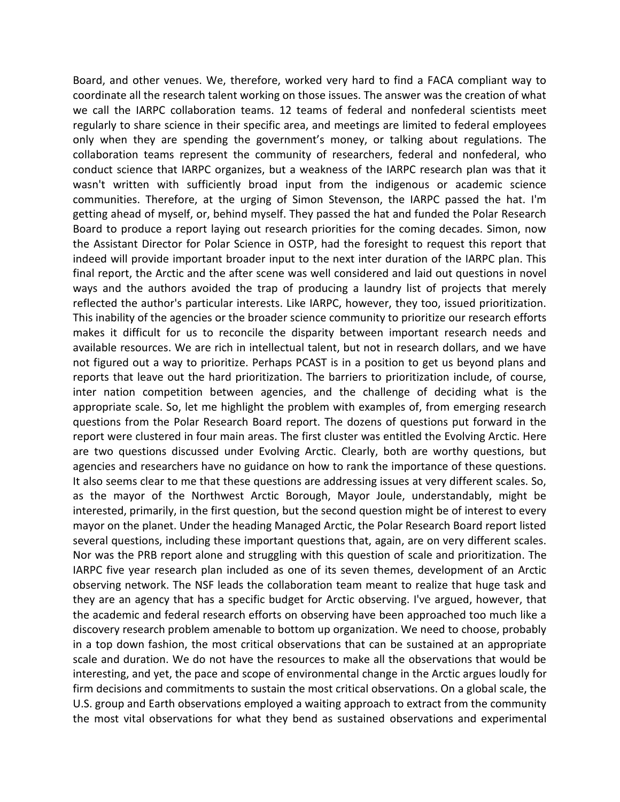Board, and other venues. We, therefore, worked very hard to find a FACA compliant way to coordinate all the research talent working on those issues. The answer was the creation of what we call the IARPC collaboration teams. 12 teams of federal and nonfederal scientists meet regularly to share science in their specific area, and meetings are limited to federal employees only when they are spending the government's money, or talking about regulations. The collaboration teams represent the community of researchers, federal and nonfederal, who conduct science that IARPC organizes, but a weakness of the IARPC research plan was that it wasn't written with sufficiently broad input from the indigenous or academic science communities. Therefore, at the urging of Simon Stevenson, the IARPC passed the hat. I'm getting ahead of myself, or, behind myself. They passed the hat and funded the Polar Research Board to produce a report laying out research priorities for the coming decades. Simon, now the Assistant Director for Polar Science in OSTP, had the foresight to request this report that indeed will provide important broader input to the next inter duration of the IARPC plan. This final report, the Arctic and the after scene was well considered and laid out questions in novel ways and the authors avoided the trap of producing a laundry list of projects that merely reflected the author's particular interests. Like IARPC, however, they too, issued prioritization. This inability of the agencies or the broader science community to prioritize our research efforts makes it difficult for us to reconcile the disparity between important research needs and available resources. We are rich in intellectual talent, but not in research dollars, and we have not figured out a way to prioritize. Perhaps PCAST is in a position to get us beyond plans and reports that leave out the hard prioritization. The barriers to prioritization include, of course, inter nation competition between agencies, and the challenge of deciding what is the appropriate scale. So, let me highlight the problem with examples of, from emerging research questions from the Polar Research Board report. The dozens of questions put forward in the report were clustered in four main areas. The first cluster was entitled the Evolving Arctic. Here are two questions discussed under Evolving Arctic. Clearly, both are worthy questions, but agencies and researchers have no guidance on how to rank the importance of these questions. It also seems clear to me that these questions are addressing issues at very different scales. So, as the mayor of the Northwest Arctic Borough, Mayor Joule, understandably, might be interested, primarily, in the first question, but the second question might be of interest to every mayor on the planet. Under the heading Managed Arctic, the Polar Research Board report listed several questions, including these important questions that, again, are on very different scales. Nor was the PRB report alone and struggling with this question of scale and prioritization. The IARPC five year research plan included as one of its seven themes, development of an Arctic observing network. The NSF leads the collaboration team meant to realize that huge task and they are an agency that has a specific budget for Arctic observing. I've argued, however, that the academic and federal research efforts on observing have been approached too much like a discovery research problem amenable to bottom up organization. We need to choose, probably in a top down fashion, the most critical observations that can be sustained at an appropriate scale and duration. We do not have the resources to make all the observations that would be interesting, and yet, the pace and scope of environmental change in the Arctic argues loudly for firm decisions and commitments to sustain the most critical observations. On a global scale, the U.S. group and Earth observations employed a waiting approach to extract from the community the most vital observations for what they bend as sustained observations and experimental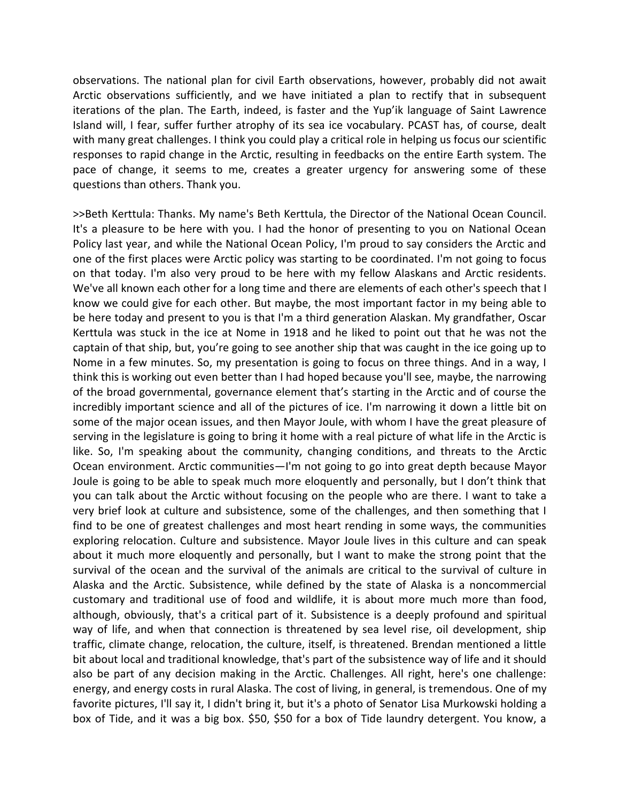observations. The national plan for civil Earth observations, however, probably did not await Arctic observations sufficiently, and we have initiated a plan to rectify that in subsequent iterations of the plan. The Earth, indeed, is faster and the Yup'ik language of Saint Lawrence Island will, I fear, suffer further atrophy of its sea ice vocabulary. PCAST has, of course, dealt with many great challenges. I think you could play a critical role in helping us focus our scientific responses to rapid change in the Arctic, resulting in feedbacks on the entire Earth system. The pace of change, it seems to me, creates a greater urgency for answering some of these questions than others. Thank you.

>>Beth Kerttula: Thanks. My name's Beth Kerttula, the Director of the National Ocean Council. It's a pleasure to be here with you. I had the honor of presenting to you on National Ocean Policy last year, and while the National Ocean Policy, I'm proud to say considers the Arctic and one of the first places were Arctic policy was starting to be coordinated. I'm not going to focus on that today. I'm also very proud to be here with my fellow Alaskans and Arctic residents. We've all known each other for a long time and there are elements of each other's speech that I know we could give for each other. But maybe, the most important factor in my being able to be here today and present to you is that I'm a third generation Alaskan. My grandfather, Oscar Kerttula was stuck in the ice at Nome in 1918 and he liked to point out that he was not the captain of that ship, but, you're going to see another ship that was caught in the ice going up to Nome in a few minutes. So, my presentation is going to focus on three things. And in a way, I think this is working out even better than I had hoped because you'll see, maybe, the narrowing of the broad governmental, governance element that's starting in the Arctic and of course the incredibly important science and all of the pictures of ice. I'm narrowing it down a little bit on some of the major ocean issues, and then Mayor Joule, with whom I have the great pleasure of serving in the legislature is going to bring it home with a real picture of what life in the Arctic is like. So, I'm speaking about the community, changing conditions, and threats to the Arctic Ocean environment. Arctic communities—I'm not going to go into great depth because Mayor Joule is going to be able to speak much more eloquently and personally, but I don't think that you can talk about the Arctic without focusing on the people who are there. I want to take a very brief look at culture and subsistence, some of the challenges, and then something that I find to be one of greatest challenges and most heart rending in some ways, the communities exploring relocation. Culture and subsistence. Mayor Joule lives in this culture and can speak about it much more eloquently and personally, but I want to make the strong point that the survival of the ocean and the survival of the animals are critical to the survival of culture in Alaska and the Arctic. Subsistence, while defined by the state of Alaska is a noncommercial customary and traditional use of food and wildlife, it is about more much more than food, although, obviously, that's a critical part of it. Subsistence is a deeply profound and spiritual way of life, and when that connection is threatened by sea level rise, oil development, ship traffic, climate change, relocation, the culture, itself, is threatened. Brendan mentioned a little bit about local and traditional knowledge, that's part of the subsistence way of life and it should also be part of any decision making in the Arctic. Challenges. All right, here's one challenge: energy, and energy costs in rural Alaska. The cost of living, in general, is tremendous. One of my favorite pictures, I'll say it, I didn't bring it, but it's a photo of Senator Lisa Murkowski holding a box of Tide, and it was a big box. \$50, \$50 for a box of Tide laundry detergent. You know, a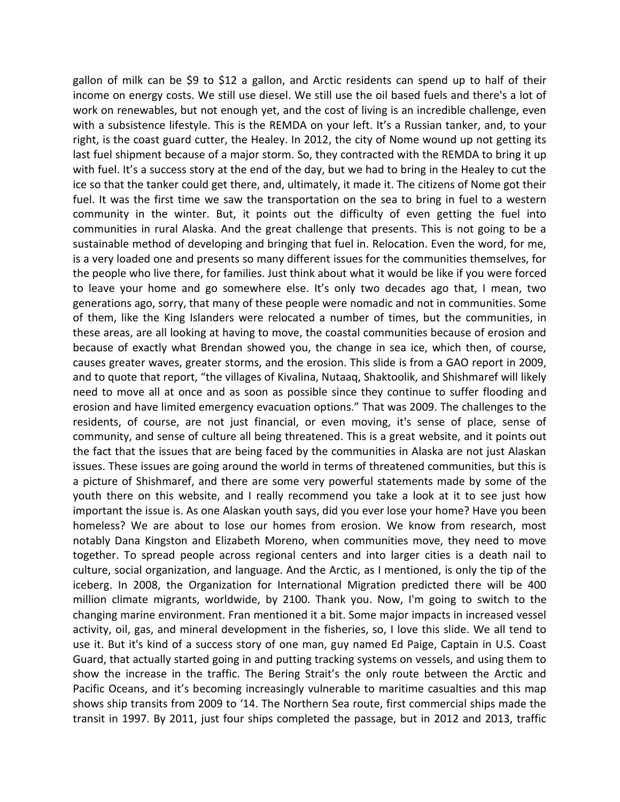gallon of milk can be \$9 to \$12 a gallon, and Arctic residents can spend up to half of their income on energy costs. We still use diesel. We still use the oil based fuels and there's a lot of work on renewables, but not enough yet, and the cost of living is an incredible challenge, even with a subsistence lifestyle. This is the REMDA on your left. It's a Russian tanker, and, to your right, is the coast guard cutter, the Healey. In 2012, the city of Nome wound up not getting its last fuel shipment because of a major storm. So, they contracted with the REMDA to bring it up with fuel. It's a success story at the end of the day, but we had to bring in the Healey to cut the ice so that the tanker could get there, and, ultimately, it made it. The citizens of Nome got their fuel. It was the first time we saw the transportation on the sea to bring in fuel to a western community in the winter. But, it points out the difficulty of even getting the fuel into communities in rural Alaska. And the great challenge that presents. This is not going to be a sustainable method of developing and bringing that fuel in. Relocation. Even the word, for me, is a very loaded one and presents so many different issues for the communities themselves, for the people who live there, for families. Just think about what it would be like if you were forced to leave your home and go somewhere else. It's only two decades ago that, I mean, two generations ago, sorry, that many of these people were nomadic and not in communities. Some of them, like the King Islanders were relocated a number of times, but the communities, in these areas, are all looking at having to move, the coastal communities because of erosion and because of exactly what Brendan showed you, the change in sea ice, which then, of course, causes greater waves, greater storms, and the erosion. This slide is from a GAO report in 2009, and to quote that report, "the villages of Kivalina, Nutaaq, Shaktoolik, and Shishmaref will likely need to move all at once and as soon as possible since they continue to suffer flooding and erosion and have limited emergency evacuation options." That was 2009. The challenges to the residents, of course, are not just financial, or even moving, it's sense of place, sense of community, and sense of culture all being threatened. This is a great website, and it points out the fact that the issues that are being faced by the communities in Alaska are not just Alaskan issues. These issues are going around the world in terms of threatened communities, but this is a picture of Shishmaref, and there are some very powerful statements made by some of the youth there on this website, and I really recommend you take a look at it to see just how important the issue is. As one Alaskan youth says, did you ever lose your home? Have you been homeless? We are about to lose our homes from erosion. We know from research, most notably Dana Kingston and Elizabeth Moreno, when communities move, they need to move together. To spread people across regional centers and into larger cities is a death nail to culture, social organization, and language. And the Arctic, as I mentioned, is only the tip of the iceberg. In 2008, the Organization for International Migration predicted there will be 400 million climate migrants, worldwide, by 2100. Thank you. Now, I'm going to switch to the changing marine environment. Fran mentioned it a bit. Some major impacts in increased vessel activity, oil, gas, and mineral development in the fisheries, so, I love this slide. We all tend to use it. But it's kind of a success story of one man, guy named Ed Paige, Captain in U.S. Coast Guard, that actually started going in and putting tracking systems on vessels, and using them to show the increase in the traffic. The Bering Strait's the only route between the Arctic and Pacific Oceans, and it's becoming increasingly vulnerable to maritime casualties and this map shows ship transits from 2009 to '14. The Northern Sea route, first commercial ships made the transit in 1997. By 2011, just four ships completed the passage, but in 2012 and 2013, traffic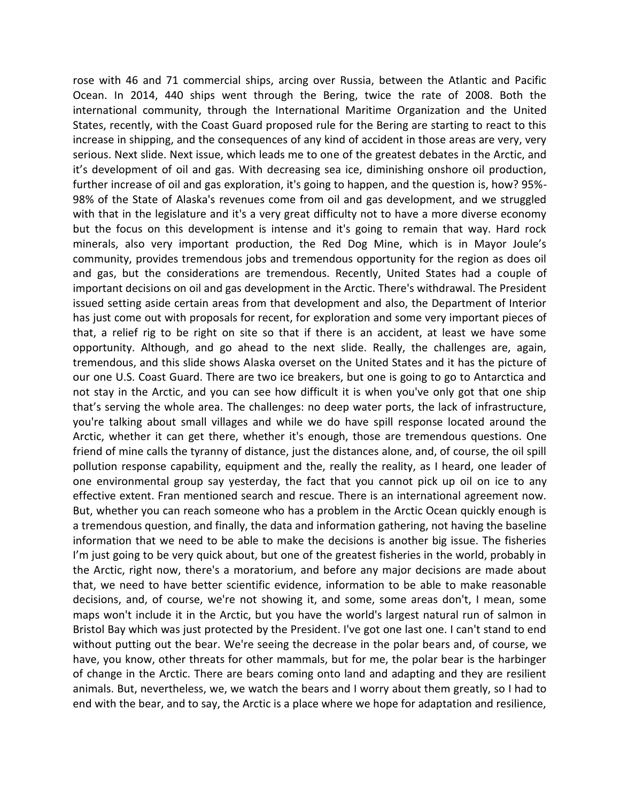rose with 46 and 71 commercial ships, arcing over Russia, between the Atlantic and Pacific Ocean. In 2014, 440 ships went through the Bering, twice the rate of 2008. Both the international community, through the International Maritime Organization and the United States, recently, with the Coast Guard proposed rule for the Bering are starting to react to this increase in shipping, and the consequences of any kind of accident in those areas are very, very serious. Next slide. Next issue, which leads me to one of the greatest debates in the Arctic, and it's development of oil and gas. With decreasing sea ice, diminishing onshore oil production, further increase of oil and gas exploration, it's going to happen, and the question is, how? 95%- 98% of the State of Alaska's revenues come from oil and gas development, and we struggled with that in the legislature and it's a very great difficulty not to have a more diverse economy but the focus on this development is intense and it's going to remain that way. Hard rock minerals, also very important production, the Red Dog Mine, which is in Mayor Joule's community, provides tremendous jobs and tremendous opportunity for the region as does oil and gas, but the considerations are tremendous. Recently, United States had a couple of important decisions on oil and gas development in the Arctic. There's withdrawal. The President issued setting aside certain areas from that development and also, the Department of Interior has just come out with proposals for recent, for exploration and some very important pieces of that, a relief rig to be right on site so that if there is an accident, at least we have some opportunity. Although, and go ahead to the next slide. Really, the challenges are, again, tremendous, and this slide shows Alaska overset on the United States and it has the picture of our one U.S. Coast Guard. There are two ice breakers, but one is going to go to Antarctica and not stay in the Arctic, and you can see how difficult it is when you've only got that one ship that's serving the whole area. The challenges: no deep water ports, the lack of infrastructure, you're talking about small villages and while we do have spill response located around the Arctic, whether it can get there, whether it's enough, those are tremendous questions. One friend of mine calls the tyranny of distance, just the distances alone, and, of course, the oil spill pollution response capability, equipment and the, really the reality, as I heard, one leader of one environmental group say yesterday, the fact that you cannot pick up oil on ice to any effective extent. Fran mentioned search and rescue. There is an international agreement now. But, whether you can reach someone who has a problem in the Arctic Ocean quickly enough is a tremendous question, and finally, the data and information gathering, not having the baseline information that we need to be able to make the decisions is another big issue. The fisheries I'm just going to be very quick about, but one of the greatest fisheries in the world, probably in the Arctic, right now, there's a moratorium, and before any major decisions are made about that, we need to have better scientific evidence, information to be able to make reasonable decisions, and, of course, we're not showing it, and some, some areas don't, I mean, some maps won't include it in the Arctic, but you have the world's largest natural run of salmon in Bristol Bay which was just protected by the President. I've got one last one. I can't stand to end without putting out the bear. We're seeing the decrease in the polar bears and, of course, we have, you know, other threats for other mammals, but for me, the polar bear is the harbinger of change in the Arctic. There are bears coming onto land and adapting and they are resilient animals. But, nevertheless, we, we watch the bears and I worry about them greatly, so I had to end with the bear, and to say, the Arctic is a place where we hope for adaptation and resilience,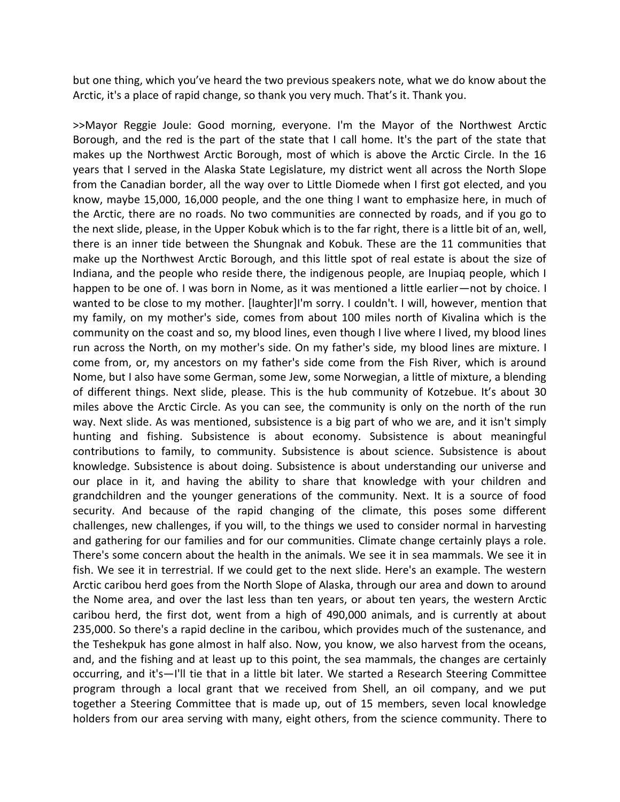but one thing, which you've heard the two previous speakers note, what we do know about the Arctic, it's a place of rapid change, so thank you very much. That's it. Thank you.

>>Mayor Reggie Joule: Good morning, everyone. I'm the Mayor of the Northwest Arctic Borough, and the red is the part of the state that I call home. It's the part of the state that makes up the Northwest Arctic Borough, most of which is above the Arctic Circle. In the 16 years that I served in the Alaska State Legislature, my district went all across the North Slope from the Canadian border, all the way over to Little Diomede when I first got elected, and you know, maybe 15,000, 16,000 people, and the one thing I want to emphasize here, in much of the Arctic, there are no roads. No two communities are connected by roads, and if you go to the next slide, please, in the Upper Kobuk which is to the far right, there is a little bit of an, well, there is an inner tide between the Shungnak and Kobuk. These are the 11 communities that make up the Northwest Arctic Borough, and this little spot of real estate is about the size of Indiana, and the people who reside there, the indigenous people, are Inupiaq people, which I happen to be one of. I was born in Nome, as it was mentioned a little earlier—not by choice. I wanted to be close to my mother. [laughter]I'm sorry. I couldn't. I will, however, mention that my family, on my mother's side, comes from about 100 miles north of Kivalina which is the community on the coast and so, my blood lines, even though I live where I lived, my blood lines run across the North, on my mother's side. On my father's side, my blood lines are mixture. I come from, or, my ancestors on my father's side come from the Fish River, which is around Nome, but I also have some German, some Jew, some Norwegian, a little of mixture, a blending of different things. Next slide, please. This is the hub community of Kotzebue. It's about 30 miles above the Arctic Circle. As you can see, the community is only on the north of the run way. Next slide. As was mentioned, subsistence is a big part of who we are, and it isn't simply hunting and fishing. Subsistence is about economy. Subsistence is about meaningful contributions to family, to community. Subsistence is about science. Subsistence is about knowledge. Subsistence is about doing. Subsistence is about understanding our universe and our place in it, and having the ability to share that knowledge with your children and grandchildren and the younger generations of the community. Next. It is a source of food security. And because of the rapid changing of the climate, this poses some different challenges, new challenges, if you will, to the things we used to consider normal in harvesting and gathering for our families and for our communities. Climate change certainly plays a role. There's some concern about the health in the animals. We see it in sea mammals. We see it in fish. We see it in terrestrial. If we could get to the next slide. Here's an example. The western Arctic caribou herd goes from the North Slope of Alaska, through our area and down to around the Nome area, and over the last less than ten years, or about ten years, the western Arctic caribou herd, the first dot, went from a high of 490,000 animals, and is currently at about 235,000. So there's a rapid decline in the caribou, which provides much of the sustenance, and the Teshekpuk has gone almost in half also. Now, you know, we also harvest from the oceans, and, and the fishing and at least up to this point, the sea mammals, the changes are certainly occurring, and it's—I'll tie that in a little bit later. We started a Research Steering Committee program through a local grant that we received from Shell, an oil company, and we put together a Steering Committee that is made up, out of 15 members, seven local knowledge holders from our area serving with many, eight others, from the science community. There to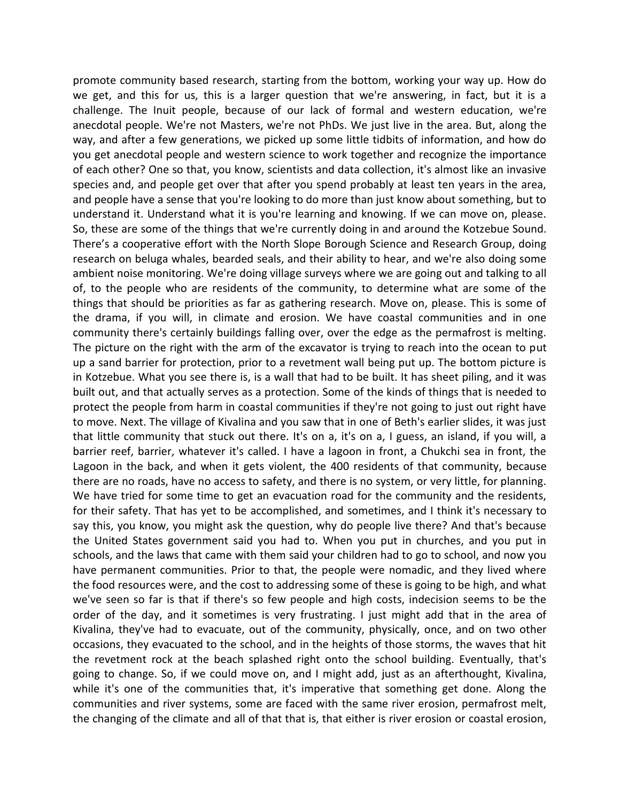promote community based research, starting from the bottom, working your way up. How do we get, and this for us, this is a larger question that we're answering, in fact, but it is a challenge. The Inuit people, because of our lack of formal and western education, we're anecdotal people. We're not Masters, we're not PhDs. We just live in the area. But, along the way, and after a few generations, we picked up some little tidbits of information, and how do you get anecdotal people and western science to work together and recognize the importance of each other? One so that, you know, scientists and data collection, it's almost like an invasive species and, and people get over that after you spend probably at least ten years in the area, and people have a sense that you're looking to do more than just know about something, but to understand it. Understand what it is you're learning and knowing. If we can move on, please. So, these are some of the things that we're currently doing in and around the Kotzebue Sound. There's a cooperative effort with the North Slope Borough Science and Research Group, doing research on beluga whales, bearded seals, and their ability to hear, and we're also doing some ambient noise monitoring. We're doing village surveys where we are going out and talking to all of, to the people who are residents of the community, to determine what are some of the things that should be priorities as far as gathering research. Move on, please. This is some of the drama, if you will, in climate and erosion. We have coastal communities and in one community there's certainly buildings falling over, over the edge as the permafrost is melting. The picture on the right with the arm of the excavator is trying to reach into the ocean to put up a sand barrier for protection, prior to a revetment wall being put up. The bottom picture is in Kotzebue. What you see there is, is a wall that had to be built. It has sheet piling, and it was built out, and that actually serves as a protection. Some of the kinds of things that is needed to protect the people from harm in coastal communities if they're not going to just out right have to move. Next. The village of Kivalina and you saw that in one of Beth's earlier slides, it was just that little community that stuck out there. It's on a, it's on a, I guess, an island, if you will, a barrier reef, barrier, whatever it's called. I have a lagoon in front, a Chukchi sea in front, the Lagoon in the back, and when it gets violent, the 400 residents of that community, because there are no roads, have no access to safety, and there is no system, or very little, for planning. We have tried for some time to get an evacuation road for the community and the residents, for their safety. That has yet to be accomplished, and sometimes, and I think it's necessary to say this, you know, you might ask the question, why do people live there? And that's because the United States government said you had to. When you put in churches, and you put in schools, and the laws that came with them said your children had to go to school, and now you have permanent communities. Prior to that, the people were nomadic, and they lived where the food resources were, and the cost to addressing some of these is going to be high, and what we've seen so far is that if there's so few people and high costs, indecision seems to be the order of the day, and it sometimes is very frustrating. I just might add that in the area of Kivalina, they've had to evacuate, out of the community, physically, once, and on two other occasions, they evacuated to the school, and in the heights of those storms, the waves that hit the revetment rock at the beach splashed right onto the school building. Eventually, that's going to change. So, if we could move on, and I might add, just as an afterthought, Kivalina, while it's one of the communities that, it's imperative that something get done. Along the communities and river systems, some are faced with the same river erosion, permafrost melt, the changing of the climate and all of that that is, that either is river erosion or coastal erosion,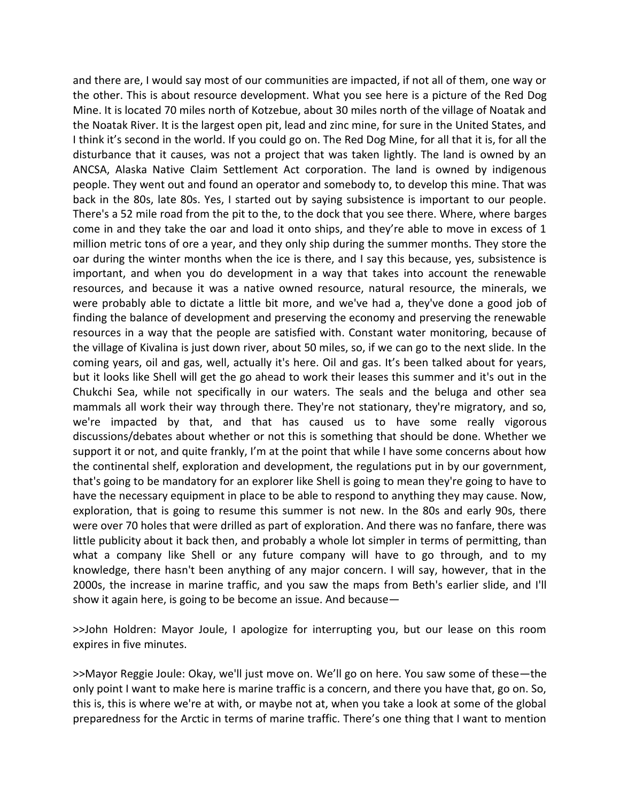and there are, I would say most of our communities are impacted, if not all of them, one way or the other. This is about resource development. What you see here is a picture of the Red Dog Mine. It is located 70 miles north of Kotzebue, about 30 miles north of the village of Noatak and the Noatak River. It is the largest open pit, lead and zinc mine, for sure in the United States, and I think it's second in the world. If you could go on. The Red Dog Mine, for all that it is, for all the disturbance that it causes, was not a project that was taken lightly. The land is owned by an ANCSA, Alaska Native Claim Settlement Act corporation. The land is owned by indigenous people. They went out and found an operator and somebody to, to develop this mine. That was back in the 80s, late 80s. Yes, I started out by saying subsistence is important to our people. There's a 52 mile road from the pit to the, to the dock that you see there. Where, where barges come in and they take the oar and load it onto ships, and they're able to move in excess of 1 million metric tons of ore a year, and they only ship during the summer months. They store the oar during the winter months when the ice is there, and I say this because, yes, subsistence is important, and when you do development in a way that takes into account the renewable resources, and because it was a native owned resource, natural resource, the minerals, we were probably able to dictate a little bit more, and we've had a, they've done a good job of finding the balance of development and preserving the economy and preserving the renewable resources in a way that the people are satisfied with. Constant water monitoring, because of the village of Kivalina is just down river, about 50 miles, so, if we can go to the next slide. In the coming years, oil and gas, well, actually it's here. Oil and gas. It's been talked about for years, but it looks like Shell will get the go ahead to work their leases this summer and it's out in the Chukchi Sea, while not specifically in our waters. The seals and the beluga and other sea mammals all work their way through there. They're not stationary, they're migratory, and so, we're impacted by that, and that has caused us to have some really vigorous discussions/debates about whether or not this is something that should be done. Whether we support it or not, and quite frankly, I'm at the point that while I have some concerns about how the continental shelf, exploration and development, the regulations put in by our government, that's going to be mandatory for an explorer like Shell is going to mean they're going to have to have the necessary equipment in place to be able to respond to anything they may cause. Now, exploration, that is going to resume this summer is not new. In the 80s and early 90s, there were over 70 holes that were drilled as part of exploration. And there was no fanfare, there was little publicity about it back then, and probably a whole lot simpler in terms of permitting, than what a company like Shell or any future company will have to go through, and to my knowledge, there hasn't been anything of any major concern. I will say, however, that in the 2000s, the increase in marine traffic, and you saw the maps from Beth's earlier slide, and I'll show it again here, is going to be become an issue. And because—

>>John Holdren: Mayor Joule, I apologize for interrupting you, but our lease on this room expires in five minutes.

>>Mayor Reggie Joule: Okay, we'll just move on. We'll go on here. You saw some of these—the only point I want to make here is marine traffic is a concern, and there you have that, go on. So, this is, this is where we're at with, or maybe not at, when you take a look at some of the global preparedness for the Arctic in terms of marine traffic. There's one thing that I want to mention